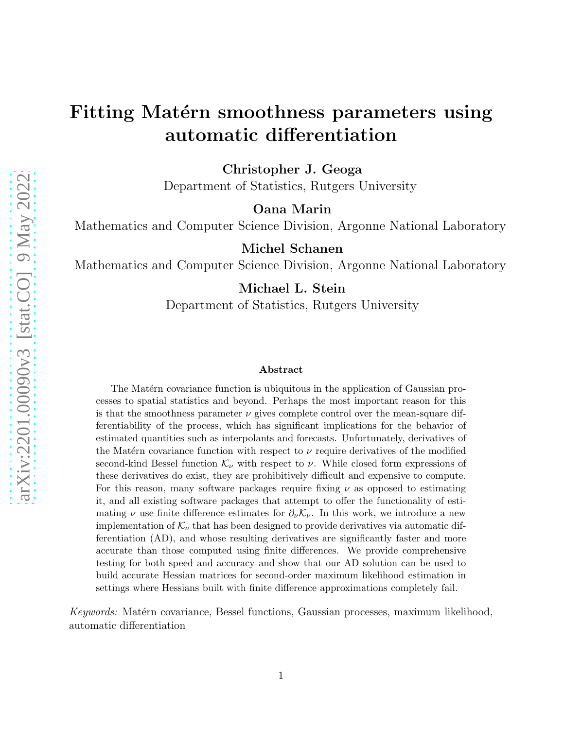# Fitting Matérn smoothness parameters using automatic differentiation

Christopher J. Geoga

Department of Statistics, Rutgers University

Oana Marin

Mathematics and Computer Science Division, Argonne National Laboratory

Michel Schanen

Mathematics and Computer Science Division, Argonne National Laboratory

Michael L. Stein

Department of Statistics, Rutgers University

#### Abstract

The Matérn covariance function is ubiquitous in the application of Gaussian processes to spatial statistics and beyond. Perhaps the most important reason for this is that the smoothness parameter  $\nu$  gives complete control over the mean-square differentiability of the process, which has significant implications for the behavior of estimated quantities such as interpolants and forecasts. Unfortunately, derivatives of the Matérn covariance function with respect to  $\nu$  require derivatives of the modified second-kind Bessel function  $\mathcal{K}_{\nu}$  with respect to  $\nu$ . While closed form expressions of these derivatives do exist, they are prohibitively difficult and expensive to compute. For this reason, many software packages require fixing  $\nu$  as opposed to estimating it, and all existing software packages that attempt to offer the functionality of estimating  $\nu$  use finite difference estimates for  $\partial_{\nu} \mathcal{K}_{\nu}$ . In this work, we introduce a new implementation of  $\mathcal{K}_{\nu}$  that has been designed to provide derivatives via automatic differentiation (AD), and whose resulting derivatives are significantly faster and more accurate than those computed using finite differences. We provide comprehensive testing for both speed and accuracy and show that our AD solution can be used to build accurate Hessian matrices for second-order maximum likelihood estimation in settings where Hessians built with finite difference approximations completely fail.

Keywords: Matérn covariance, Bessel functions, Gaussian processes, maximum likelihood, automatic differentiation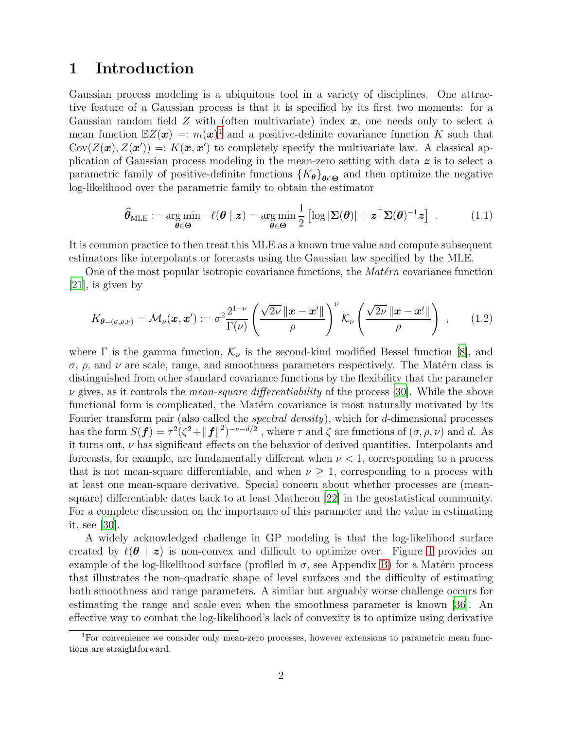### 1 Introduction

Gaussian process modeling is a ubiquitous tool in a variety of disciplines. One attractive feature of a Gaussian process is that it is specified by its first two moments: for a Gaussian random field  $Z$  with (often multivariate) index  $x$ , one needs only to select a mean function  $EZ(x) =: m(x)^{1}$  $EZ(x) =: m(x)^{1}$  $EZ(x) =: m(x)^{1}$  and a positive-definite covariance function K such that Cov $(Z(\mathbf{x}), Z(\mathbf{x}')) =: K(\mathbf{x}, \mathbf{x}')$  to completely specify the multivariate law. A classical application of Gaussian process modeling in the mean-zero setting with data  $\boldsymbol{z}$  is to select a parametric family of positive-definite functions  ${K_{\theta}}_{\theta \in \Theta}$  and then optimize the negative log-likelihood over the parametric family to obtain the estimator

$$
\widehat{\boldsymbol{\theta}}_{MLE} := \underset{\boldsymbol{\theta} \in \boldsymbol{\Theta}}{\arg \min} - \ell(\boldsymbol{\theta} \mid \boldsymbol{z}) = \underset{\boldsymbol{\theta} \in \boldsymbol{\Theta}}{\arg \min} \frac{1}{2} \left[ \log |\boldsymbol{\Sigma}(\boldsymbol{\theta})| + \boldsymbol{z}^{\top} \boldsymbol{\Sigma}(\boldsymbol{\theta})^{-1} \boldsymbol{z} \right] \ . \tag{1.1}
$$

It is common practice to then treat this MLE as a known true value and compute subsequent estimators like interpolants or forecasts using the Gaussian law specified by the MLE.

One of the most popular isotropic covariance functions, the  $\textit{Matérn}$  covariance function [\[21\]](#page-24-0), is given by

$$
K_{\theta=(\sigma,\rho,\nu)} = \mathcal{M}_{\nu}(\boldsymbol{x},\boldsymbol{x}') := \sigma^2 \frac{2^{1-\nu}}{\Gamma(\nu)} \left( \frac{\sqrt{2\nu} \left\| \boldsymbol{x} - \boldsymbol{x}' \right\|}{\rho} \right)^{\nu} \mathcal{K}_{\nu} \left( \frac{\sqrt{2\nu} \left\| \boldsymbol{x} - \boldsymbol{x}' \right\|}{\rho} \right) , \quad (1.2)
$$

where  $\Gamma$  is the gamma function,  $\mathcal{K}_{\nu}$  is the second-kind modified Bessel function [\[8](#page-23-0)], and σ,  $ρ$ , and  $ν$  are scale, range, and smoothness parameters respectively. The Matérn class is distinguished from other standard covariance functions by the flexibility that the parameter  $\nu$  gives, as it controls the *mean-square differentiability* of the process [\[30](#page-24-1)]. While the above functional form is complicated, the Matérn covariance is most naturally motivated by its Fourier transform pair (also called the *spectral density*), which for d-dimensional processes has the form  $S(f) = \tau^2 (\zeta^2 + ||f||^2)^{-\nu - d/2}$ , where  $\tau$  and  $\zeta$  are functions of  $(\sigma, \rho, \nu)$  and d. As it turns out,  $\nu$  has significant effects on the behavior of derived quantities. Interpolants and forecasts, for example, are fundamentally different when  $\nu < 1$ , corresponding to a process that is not mean-square differentiable, and when  $\nu \geq 1$ , corresponding to a process with at least one mean-square derivative. Special concern about whether processes are (meansquare) differentiable dates back to at least Matheron [\[22](#page-24-2)] in the geostatistical community. For a complete discussion on the importance of this parameter and the value in estimating it, see [\[30\]](#page-24-1).

A widely acknowledged challenge in GP modeling is that the log-likelihood surface created by  $\ell(\theta \mid z)$  is non-convex and difficult to optimize over. Figure [1](#page-2-0) provides an example of the log-likelihood surface (profiled in  $\sigma$ , see Appendix [B\)](#page-22-0) for a Matérn process that illustrates the non-quadratic shape of level surfaces and the difficulty of estimating both smoothness and range parameters. A similar but arguably worse challenge occurs for estimating the range and scale even when the smoothness parameter is known [\[36\]](#page-25-0). An effective way to combat the log-likelihood's lack of convexity is to optimize using derivative

<span id="page-1-0"></span><sup>1</sup>For convenience we consider only mean-zero processes, however extensions to parametric mean functions are straightforward.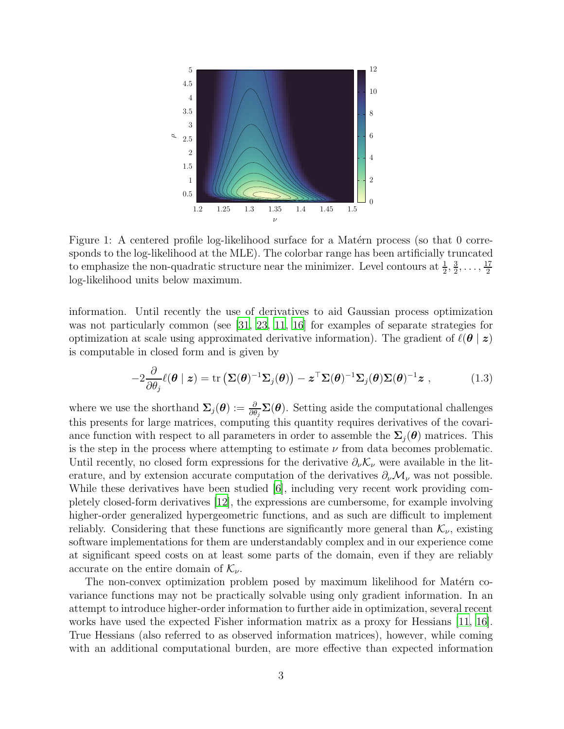<span id="page-2-0"></span>

Figure 1: A centered profile log-likelihood surface for a Matérn process (so that 0 corresponds to the log-likelihood at the MLE). The colorbar range has been artificially truncated to emphasize the non-quadratic structure near the minimizer. Level contours at  $\frac{1}{2}$ ,  $\frac{3}{2}$  $\frac{3}{2}, \ldots, \frac{17}{2}$ 2 log-likelihood units below maximum.

information. Until recently the use of derivatives to aid Gaussian process optimization was not particularly common (see [\[31,](#page-24-3) [23](#page-24-4), [11,](#page-23-1) [16\]](#page-23-2) for examples of separate strategies for optimization at scale using approximated derivative information). The gradient of  $\ell(\theta \mid z)$ is computable in closed form and is given by

$$
-2\frac{\partial}{\partial \theta_j} \ell(\boldsymbol{\theta} \mid \boldsymbol{z}) = \text{tr}\left(\boldsymbol{\Sigma}(\boldsymbol{\theta})^{-1} \boldsymbol{\Sigma}_j(\boldsymbol{\theta})\right) - \boldsymbol{z}^\top \boldsymbol{\Sigma}(\boldsymbol{\theta})^{-1} \boldsymbol{\Sigma}_j(\boldsymbol{\theta}) \boldsymbol{\Sigma}(\boldsymbol{\theta})^{-1} \boldsymbol{z} \;, \tag{1.3}
$$

where we use the shorthand  $\Sigma_j(\theta) := \frac{\partial}{\partial \theta_j} \Sigma(\theta)$ . Setting aside the computational challenges this presents for large matrices, computing this quantity requires derivatives of the covariance function with respect to all parameters in order to assemble the  $\Sigma_i(\theta)$  matrices. This is the step in the process where attempting to estimate  $\nu$  from data becomes problematic. Until recently, no closed form expressions for the derivative  $\partial_{\nu} \mathcal{K}_{\nu}$  were available in the literature, and by extension accurate computation of the derivatives  $\partial_{\nu}M_{\nu}$  was not possible. While these derivatives have been studied [\[6](#page-23-3)], including very recent work providing completely closed-form derivatives [\[12\]](#page-23-4), the expressions are cumbersome, for example involving higher-order generalized hypergeometric functions, and as such are difficult to implement reliably. Considering that these functions are significantly more general than  $\mathcal{K}_{\nu}$ , existing software implementations for them are understandably complex and in our experience come at significant speed costs on at least some parts of the domain, even if they are reliably accurate on the entire domain of  $\mathcal{K}_{\nu}$ .

The non-convex optimization problem posed by maximum likelihood for Matérn covariance functions may not be practically solvable using only gradient information. In an attempt to introduce higher-order information to further aide in optimization, several recent works have used the expected Fisher information matrix as a proxy for Hessians [\[11,](#page-23-1) [16\]](#page-23-2). True Hessians (also referred to as observed information matrices), however, while coming with an additional computational burden, are more effective than expected information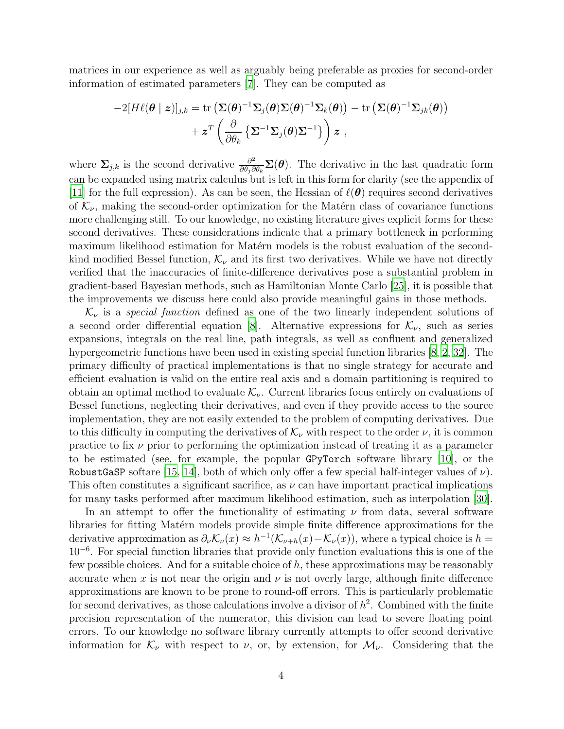matrices in our experience as well as arguably being preferable as proxies for second-order information of estimated parameters [\[7\]](#page-23-5). They can be computed as

$$
-2[H\ell(\boldsymbol{\theta} \mid \boldsymbol{z})]_{j,k} = \text{tr}\left(\boldsymbol{\Sigma}(\boldsymbol{\theta})^{-1}\boldsymbol{\Sigma}_j(\boldsymbol{\theta})\boldsymbol{\Sigma}(\boldsymbol{\theta})^{-1}\boldsymbol{\Sigma}_k(\boldsymbol{\theta})\right) - \text{tr}\left(\boldsymbol{\Sigma}(\boldsymbol{\theta})^{-1}\boldsymbol{\Sigma}_{jk}(\boldsymbol{\theta})\right) \\qquad \qquad + \boldsymbol{z}^T\left(\frac{\partial}{\partial \theta_k}\left\{\boldsymbol{\Sigma}^{-1}\boldsymbol{\Sigma}_j(\boldsymbol{\theta})\boldsymbol{\Sigma}^{-1}\right\}\right)\boldsymbol{z} \;,
$$

where  $\Sigma_{j,k}$  is the second derivative  $\frac{\partial^2}{\partial \theta_i \partial \theta_j}$  $\frac{\partial^2}{\partial \theta_j \partial \theta_k} \Sigma(\boldsymbol{\theta})$ . The derivative in the last quadratic form can be expanded using matrix calculus but is left in this form for clarity (see the appendix of [\[11\]](#page-23-1) for the full expression). As can be seen, the Hessian of  $\ell(\theta)$  requires second derivatives of  $\mathcal{K}_{\nu}$ , making the second-order optimization for the Matérn class of covariance functions more challenging still. To our knowledge, no existing literature gives explicit forms for these second derivatives. These considerations indicate that a primary bottleneck in performing maximum likelihood estimation for Matérn models is the robust evaluation of the secondkind modified Bessel function,  $\mathcal{K}_{\nu}$  and its first two derivatives. While we have not directly verified that the inaccuracies of finite-difference derivatives pose a substantial problem in gradient-based Bayesian methods, such as Hamiltonian Monte Carlo [\[25\]](#page-24-5), it is possible that the improvements we discuss here could also provide meaningful gains in those methods.

 $\mathcal{K}_{\nu}$  is a *special function* defined as one of the two linearly independent solutions of a second order differential equation [\[8](#page-23-0)]. Alternative expressions for  $\mathcal{K}_{\nu}$ , such as series expansions, integrals on the real line, path integrals, as well as confluent and generalized hypergeometric functions have been used in existing special function libraries [\[8,](#page-23-0) [2,](#page-22-1) [32\]](#page-24-6). The primary difficulty of practical implementations is that no single strategy for accurate and efficient evaluation is valid on the entire real axis and a domain partitioning is required to obtain an optimal method to evaluate  $\mathcal{K}_{\nu}$ . Current libraries focus entirely on evaluations of Bessel functions, neglecting their derivatives, and even if they provide access to the source implementation, they are not easily extended to the problem of computing derivatives. Due to this difficulty in computing the derivatives of  $\mathcal{K}_{\nu}$  with respect to the order  $\nu$ , it is common practice to fix  $\nu$  prior to performing the optimization instead of treating it as a parameter to be estimated (see, for example, the popular GPyTorch software library [\[10](#page-23-6)], or the RobustGaSP softare [\[15](#page-23-7), [14\]](#page-23-8), both of which only offer a few special half-integer values of  $\nu$ ). This often constitutes a significant sacrifice, as  $\nu$  can have important practical implications for many tasks performed after maximum likelihood estimation, such as interpolation [\[30\]](#page-24-1).

In an attempt to offer the functionality of estimating  $\nu$  from data, several software libraries for fitting Matérn models provide simple finite difference approximations for the derivative approximation as  $\partial_{\nu} \mathcal{K}_{\nu}(x) \approx h^{-1}(\mathcal{K}_{\nu+h}(x) - \mathcal{K}_{\nu}(x))$ , where a typical choice is  $h =$ 10<sup>−</sup><sup>6</sup> . For special function libraries that provide only function evaluations this is one of the few possible choices. And for a suitable choice of  $h$ , these approximations may be reasonably accurate when x is not near the origin and  $\nu$  is not overly large, although finite difference approximations are known to be prone to round-off errors. This is particularly problematic for second derivatives, as those calculations involve a divisor of  $h^2$ . Combined with the finite precision representation of the numerator, this division can lead to severe floating point errors. To our knowledge no software library currently attempts to offer second derivative information for  $\mathcal{K}_{\nu}$  with respect to  $\nu$ , or, by extension, for  $\mathcal{M}_{\nu}$ . Considering that the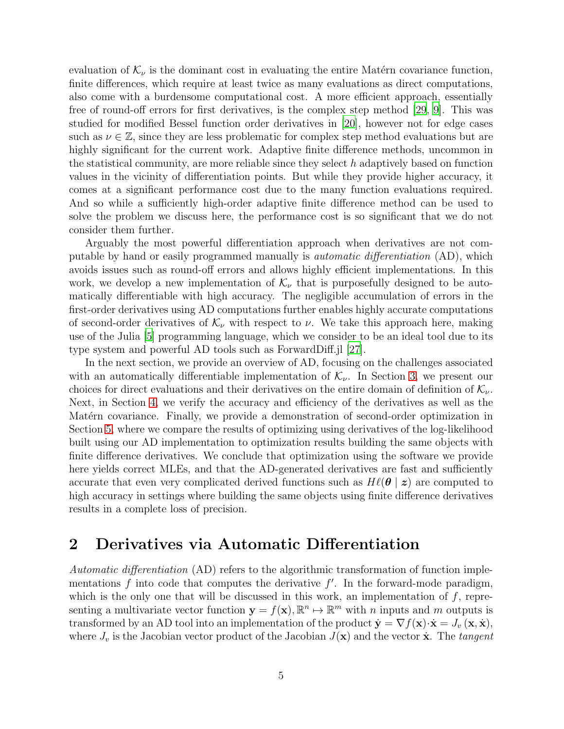evaluation of  $\mathcal{K}_{\nu}$  is the dominant cost in evaluating the entire Matérn covariance function, finite differences, which require at least twice as many evaluations as direct computations, also come with a burdensome computational cost. A more efficient approach, essentially free of round-off errors for first derivatives, is the complex step method [\[29](#page-24-7), [9\]](#page-23-9). This was studied for modified Bessel function order derivatives in [\[20\]](#page-24-8), however not for edge cases such as  $\nu \in \mathbb{Z}$ , since they are less problematic for complex step method evaluations but are highly significant for the current work. Adaptive finite difference methods, uncommon in the statistical community, are more reliable since they select  $h$  adaptively based on function values in the vicinity of differentiation points. But while they provide higher accuracy, it comes at a significant performance cost due to the many function evaluations required. And so while a sufficiently high-order adaptive finite difference method can be used to solve the problem we discuss here, the performance cost is so significant that we do not consider them further.

Arguably the most powerful differentiation approach when derivatives are not computable by hand or easily programmed manually is automatic differentiation (AD), which avoids issues such as round-off errors and allows highly efficient implementations. In this work, we develop a new implementation of  $\mathcal{K}_{\nu}$  that is purposefully designed to be automatically differentiable with high accuracy. The negligible accumulation of errors in the first-order derivatives using AD computations further enables highly accurate computations of second-order derivatives of  $\mathcal{K}_{\nu}$  with respect to  $\nu$ . We take this approach here, making use of the Julia [\[5](#page-22-2)] programming language, which we consider to be an ideal tool due to its type system and powerful AD tools such as ForwardDiff.jl [\[27](#page-24-9)].

In the next section, we provide an overview of AD, focusing on the challenges associated with an automatically differentiable implementation of  $\mathcal{K}_{\nu}$ . In Section [3,](#page-7-0) we present our choices for direct evaluations and their derivatives on the entire domain of definition of  $\mathcal{K}_{\nu}$ . Next, in Section [4,](#page-13-0) we verify the accuracy and efficiency of the derivatives as well as the Matérn covariance. Finally, we provide a demonstration of second-order optimization in Section [5,](#page-17-0) where we compare the results of optimizing using derivatives of the log-likelihood built using our AD implementation to optimization results building the same objects with finite difference derivatives. We conclude that optimization using the software we provide here yields correct MLEs, and that the AD-generated derivatives are fast and sufficiently accurate that even very complicated derived functions such as  $H\ell(\theta \mid z)$  are computed to high accuracy in settings where building the same objects using finite difference derivatives results in a complete loss of precision.

### <span id="page-4-0"></span>2 Derivatives via Automatic Differentiation

Automatic differentiation (AD) refers to the algorithmic transformation of function implementations  $f$  into code that computes the derivative  $f'$ . In the forward-mode paradigm, which is the only one that will be discussed in this work, an implementation of  $f$ , representing a multivariate vector function  $\mathbf{y} = f(\mathbf{x}), \mathbb{R}^n \mapsto \mathbb{R}^m$  with *n* inputs and *m* outputs is transformed by an AD tool into an implementation of the product  $\dot{\mathbf{y}} = \nabla f(\mathbf{x}) \cdot \dot{\mathbf{x}} = J_v(\mathbf{x}, \dot{\mathbf{x}})$ , where  $J_v$  is the Jacobian vector product of the Jacobian  $J(\mathbf{x})$  and the vector  $\dot{\mathbf{x}}$ . The tangent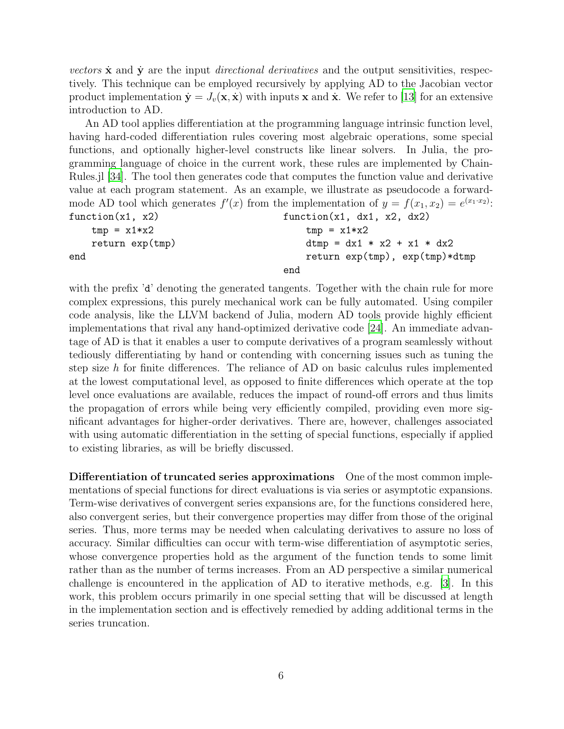vectors  $\dot{\mathbf{x}}$  and  $\dot{\mathbf{y}}$  are the input *directional derivatives* and the output sensitivities, respectively. This technique can be employed recursively by applying AD to the Jacobian vector product implementation  $\dot{\mathbf{y}} = J_v(\mathbf{x}, \dot{\mathbf{x}})$  with inputs x and  $\dot{\mathbf{x}}$ . We refer to [\[13\]](#page-23-10) for an extensive introduction to AD.

An AD tool applies differentiation at the programming language intrinsic function level, having hard-coded differentiation rules covering most algebraic operations, some special functions, and optionally higher-level constructs like linear solvers. In Julia, the programming language of choice in the current work, these rules are implemented by Chain-Rules.jl [\[34](#page-24-10)]. The tool then generates code that computes the function value and derivative value at each program statement. As an example, we illustrate as pseudocode a forwardmode AD tool which generates  $f'(x)$  from the implementation of  $y = f(x_1, x_2) = e^{(x_1 \cdot x_2)}$ . function(x1, x2)  $tmp = x1*x2$ return exp(tmp) end  $function(x1, dx1, x2, dx2)$  $tmp = x1*x2$  $dtmp = dx1 * x2 + x1 * dx2$ return exp(tmp), exp(tmp)\*dtmp

```
end
```
with the prefix 'd' denoting the generated tangents. Together with the chain rule for more complex expressions, this purely mechanical work can be fully automated. Using compiler code analysis, like the LLVM backend of Julia, modern AD tools provide highly efficient implementations that rival any hand-optimized derivative code [\[24\]](#page-24-11). An immediate advantage of AD is that it enables a user to compute derivatives of a program seamlessly without tediously differentiating by hand or contending with concerning issues such as tuning the step size  $h$  for finite differences. The reliance of AD on basic calculus rules implemented at the lowest computational level, as opposed to finite differences which operate at the top level once evaluations are available, reduces the impact of round-off errors and thus limits the propagation of errors while being very efficiently compiled, providing even more significant advantages for higher-order derivatives. There are, however, challenges associated with using automatic differentiation in the setting of special functions, especially if applied to existing libraries, as will be briefly discussed.

Differentiation of truncated series approximations One of the most common implementations of special functions for direct evaluations is via series or asymptotic expansions. Term-wise derivatives of convergent series expansions are, for the functions considered here, also convergent series, but their convergence properties may differ from those of the original series. Thus, more terms may be needed when calculating derivatives to assure no loss of accuracy. Similar difficulties can occur with term-wise differentiation of asymptotic series, whose convergence properties hold as the argument of the function tends to some limit rather than as the number of terms increases. From an AD perspective a similar numerical challenge is encountered in the application of AD to iterative methods, e.g. [\[3\]](#page-22-3). In this work, this problem occurs primarily in one special setting that will be discussed at length in the implementation section and is effectively remedied by adding additional terms in the series truncation.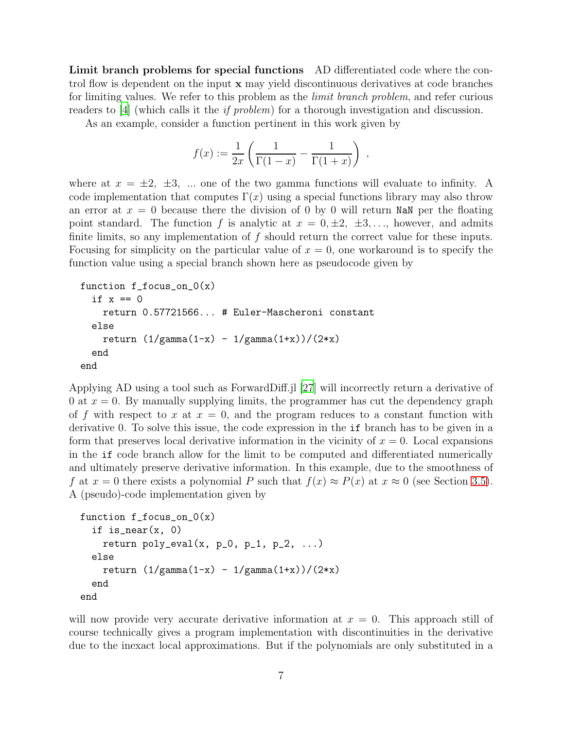Limit branch problems for special functions AD differentiated code where the control flow is dependent on the input x may yield discontinuous derivatives at code branches for limiting values. We refer to this problem as the *limit branch problem*, and refer curious readers to [\[4\]](#page-22-4) (which calls it the if problem) for a thorough investigation and discussion.

As an example, consider a function pertinent in this work given by

$$
f(x) := \frac{1}{2x} \left( \frac{1}{\Gamma(1-x)} - \frac{1}{\Gamma(1+x)} \right) ,
$$

where at  $x = \pm 2$ ,  $\pm 3$ , ... one of the two gamma functions will evaluate to infinity. A code implementation that computes  $\Gamma(x)$  using a special functions library may also throw an error at  $x = 0$  because there the division of 0 by 0 will return NaN per the floating point standard. The function f is analytic at  $x = 0, \pm 2, \pm 3, \ldots$ , however, and admits finite limits, so any implementation of  $f$  should return the correct value for these inputs. Focusing for simplicity on the particular value of  $x = 0$ , one workaround is to specify the function value using a special branch shown here as pseudocode given by

```
function f_focus_on_0(x)
  if x == 0return 0.57721566... # Euler-Mascheroni constant
  else
    return (1/gamma(1-x) - 1/gamma(1+x))/(2*x)end
end
```
Applying AD using a tool such as ForwardDiff.jl [\[27\]](#page-24-9) will incorrectly return a derivative of 0 at  $x = 0$ . By manually supplying limits, the programmer has cut the dependency graph of f with respect to x at  $x = 0$ , and the program reduces to a constant function with derivative 0. To solve this issue, the code expression in the if branch has to be given in a form that preserves local derivative information in the vicinity of  $x = 0$ . Local expansions in the if code branch allow for the limit to be computed and differentiated numerically and ultimately preserve derivative information. In this example, due to the smoothness of f at  $x = 0$  there exists a polynomial P such that  $f(x) \approx P(x)$  at  $x \approx 0$  (see Section [3.5\)](#page-12-0). A (pseudo)-code implementation given by

```
function f_focus_on_0(x)
  if is_near(x, 0)return poly\_eval(x, p_0, p_1, p_2, ...)else
    return (1/gamma(1-x) - 1/gamma(1+x))/(2*x)end
end
```
will now provide very accurate derivative information at  $x = 0$ . This approach still of course technically gives a program implementation with discontinuities in the derivative due to the inexact local approximations. But if the polynomials are only substituted in a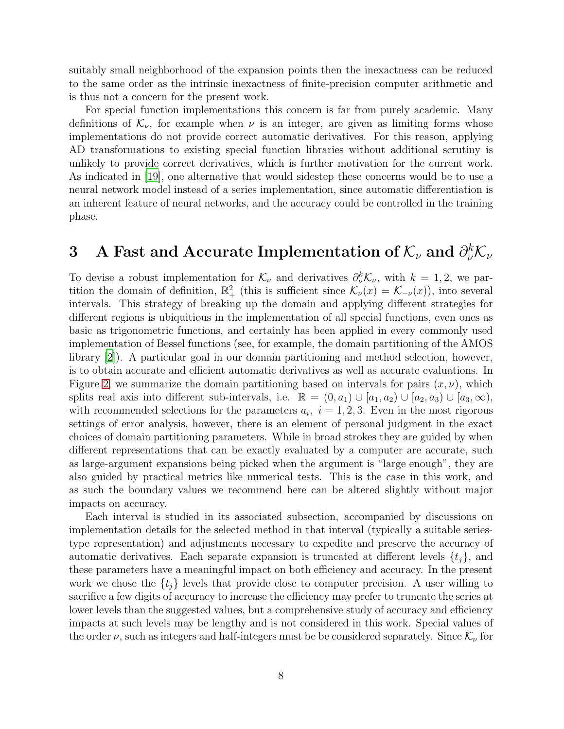suitably small neighborhood of the expansion points then the inexactness can be reduced to the same order as the intrinsic inexactness of finite-precision computer arithmetic and is thus not a concern for the present work.

For special function implementations this concern is far from purely academic. Many definitions of  $\mathcal{K}_{\nu}$ , for example when  $\nu$  is an integer, are given as limiting forms whose implementations do not provide correct automatic derivatives. For this reason, applying AD transformations to existing special function libraries without additional scrutiny is unlikely to provide correct derivatives, which is further motivation for the current work. As indicated in [\[19\]](#page-23-11), one alternative that would sidestep these concerns would be to use a neural network model instead of a series implementation, since automatic differentiation is an inherent feature of neural networks, and the accuracy could be controlled in the training phase.

# <span id="page-7-0"></span>3 A Fast and Accurate Implementation of  $\mathcal{K}_{\nu}$  and  $\partial^{k}_{\nu}\mathcal{K}_{\nu}$

To devise a robust implementation for  $\mathcal{K}_{\nu}$  and derivatives  $\partial_{\nu}^{k} \mathcal{K}_{\nu}$ , with  $k = 1, 2$ , we partition the domain of definition,  $\mathbb{R}^2_+$  (this is sufficient since  $\mathcal{K}_{\nu}(x) = \mathcal{K}_{-\nu}(x)$ ), into several intervals. This strategy of breaking up the domain and applying different strategies for different regions is ubiquitious in the implementation of all special functions, even ones as basic as trigonometric functions, and certainly has been applied in every commonly used implementation of Bessel functions (see, for example, the domain partitioning of the AMOS library [\[2](#page-22-1)]). A particular goal in our domain partitioning and method selection, however, is to obtain accurate and efficient automatic derivatives as well as accurate evaluations. In Figure [2,](#page-8-0) we summarize the domain partitioning based on intervals for pairs  $(x, \nu)$ , which splits real axis into different sub-intervals, i.e.  $\mathbb{R} = (0, a_1) \cup [a_1, a_2) \cup [a_2, a_3) \cup [a_3, \infty)$ , with recommended selections for the parameters  $a_i$ ,  $i = 1, 2, 3$ . Even in the most rigorous settings of error analysis, however, there is an element of personal judgment in the exact choices of domain partitioning parameters. While in broad strokes they are guided by when different representations that can be exactly evaluated by a computer are accurate, such as large-argument expansions being picked when the argument is "large enough", they are also guided by practical metrics like numerical tests. This is the case in this work, and as such the boundary values we recommend here can be altered slightly without major impacts on accuracy.

Each interval is studied in its associated subsection, accompanied by discussions on implementation details for the selected method in that interval (typically a suitable seriestype representation) and adjustments necessary to expedite and preserve the accuracy of automatic derivatives. Each separate expansion is truncated at different levels  $\{t_i\}$ , and these parameters have a meaningful impact on both efficiency and accuracy. In the present work we chose the  $\{t_i\}$  levels that provide close to computer precision. A user willing to sacrifice a few digits of accuracy to increase the efficiency may prefer to truncate the series at lower levels than the suggested values, but a comprehensive study of accuracy and efficiency impacts at such levels may be lengthy and is not considered in this work. Special values of the order  $\nu$ , such as integers and half-integers must be be considered separately. Since  $\mathcal{K}_{\nu}$  for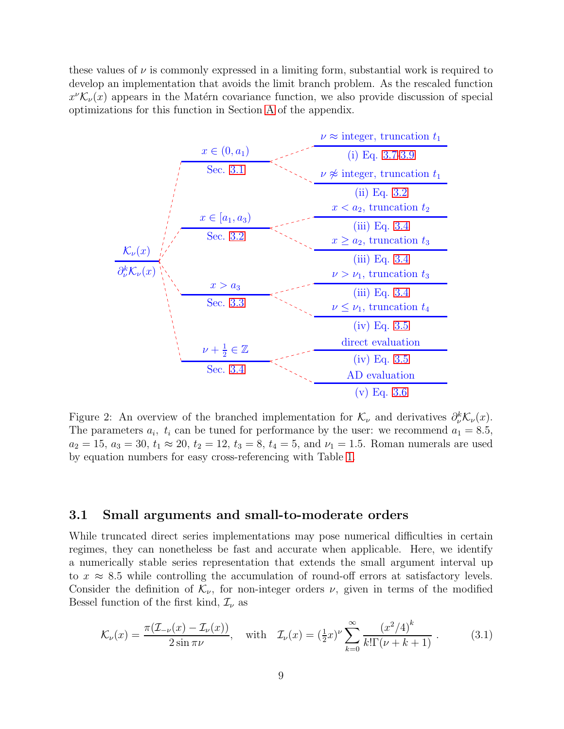these values of  $\nu$  is commonly expressed in a limiting form, substantial work is required to develop an implementation that avoids the limit branch problem. As the rescaled function  $x^{\nu} \mathcal{K}_{\nu}(x)$  appears in the Matérn covariance function, we also provide discussion of special optimizations for this function in Section [A](#page-21-0) of the appendix.

<span id="page-8-0"></span>

Figure 2: An overview of the branched implementation for  $\mathcal{K}_{\nu}$  and derivatives  $\partial_{\nu}^{k} \mathcal{K}_{\nu}(x)$ . The parameters  $a_i$ ,  $t_i$  can be tuned for performance by the user: we recommend  $a_1 = 8.5$ ,  $a_2 = 15$ ,  $a_3 = 30$ ,  $t_1 \approx 20$ ,  $t_2 = 12$ ,  $t_3 = 8$ ,  $t_4 = 5$ , and  $\nu_1 = 1.5$ . Roman numerals are used by equation numbers for easy cross-referencing with Table [1.](#page-16-0)

#### <span id="page-8-1"></span>3.1 Small arguments and small-to-moderate orders

While truncated direct series implementations may pose numerical difficulties in certain regimes, they can nonetheless be fast and accurate when applicable. Here, we identify a numerically stable series representation that extends the small argument interval up to  $x \approx 8.5$  while controlling the accumulation of round-off errors at satisfactory levels. Consider the definition of  $\mathcal{K}_{\nu}$ , for non-integer orders  $\nu$ , given in terms of the modified Bessel function of the first kind,  $\mathcal{I}_{\nu}$  as

<span id="page-8-2"></span>
$$
\mathcal{K}_{\nu}(x) = \frac{\pi(\mathcal{I}_{-\nu}(x) - \mathcal{I}_{\nu}(x))}{2\sin \pi \nu}, \quad \text{with} \quad \mathcal{I}_{\nu}(x) = (\frac{1}{2}x)^{\nu} \sum_{k=0}^{\infty} \frac{(x^2/4)^k}{k!\Gamma(\nu+k+1)}.
$$
 (3.1)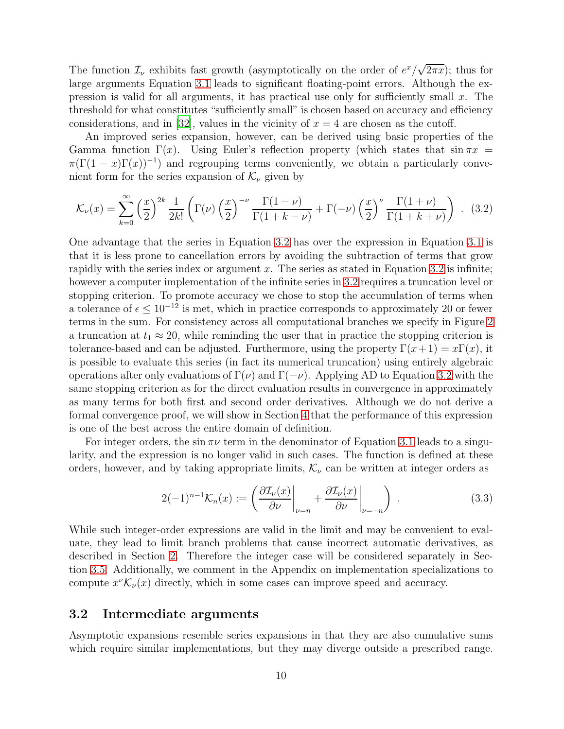The function  $\mathcal{I}_{\nu}$  exhibits fast growth (asymptotically on the order of  $e^x/\sqrt{2\pi x}$ ); thus for large arguments Equation [3.1](#page-8-2) leads to significant floating-point errors. Although the expression is valid for all arguments, it has practical use only for sufficiently small  $x$ . The threshold for what constitutes "sufficiently small" is chosen based on accuracy and efficiency considerations, and in [\[32\]](#page-24-6), values in the vicinity of  $x = 4$  are chosen as the cutoff.

An improved series expansion, however, can be derived using basic properties of the Gamma function  $\Gamma(x)$ . Using Euler's reflection property (which states that sin  $\pi x$  $\pi(\Gamma(1-x)\Gamma(x))^{-1}$  and regrouping terms conveniently, we obtain a particularly convenient form for the series expansion of  $\mathcal{K}_{\nu}$  given by

<span id="page-9-1"></span>
$$
\mathcal{K}_{\nu}(x) = \sum_{k=0}^{\infty} \left(\frac{x}{2}\right)^{2k} \frac{1}{2k!} \left(\Gamma(\nu) \left(\frac{x}{2}\right)^{-\nu} \frac{\Gamma(1-\nu)}{\Gamma(1+k-\nu)} + \Gamma(-\nu) \left(\frac{x}{2}\right)^{\nu} \frac{\Gamma(1+\nu)}{\Gamma(1+k+\nu)}\right) . \tag{3.2}
$$

One advantage that the series in Equation [3.2](#page-9-1) has over the expression in Equation [3.1](#page-8-2) is that it is less prone to cancellation errors by avoiding the subtraction of terms that grow rapidly with the series index or argument x. The series as stated in Equation [3.2](#page-9-1) is infinite; however a computer implementation of the infinite series in [3.2](#page-9-1) requires a truncation level or stopping criterion. To promote accuracy we chose to stop the accumulation of terms when a tolerance of  $\epsilon \leq 10^{-12}$  is met, which in practice corresponds to approximately 20 or fewer terms in the sum. For consistency across all computational branches we specify in Figure [2](#page-8-0) a truncation at  $t_1 \approx 20$ , while reminding the user that in practice the stopping criterion is tolerance-based and can be adjusted. Furthermore, using the property  $\Gamma(x+1) = x\Gamma(x)$ , it is possible to evaluate this series (in fact its numerical truncation) using entirely algebraic operations after only evaluations of  $\Gamma(\nu)$  and  $\Gamma(-\nu)$ . Applying AD to Equation [3.2](#page-9-1) with the same stopping criterion as for the direct evaluation results in convergence in approximately as many terms for both first and second order derivatives. Although we do not derive a formal convergence proof, we will show in Section [4](#page-13-0) that the performance of this expression is one of the best across the entire domain of definition.

For integer orders, the sin  $\pi\nu$  term in the denominator of Equation [3.1](#page-8-2) leads to a singularity, and the expression is no longer valid in such cases. The function is defined at these orders, however, and by taking appropriate limits,  $\mathcal{K}_{\nu}$  can be written at integer orders as

$$
2(-1)^{n-1} \mathcal{K}_n(x) := \left( \frac{\partial \mathcal{I}_\nu(x)}{\partial \nu} \bigg|_{\nu=n} + \frac{\partial \mathcal{I}_\nu(x)}{\partial \nu} \bigg|_{\nu=-n} \right) . \tag{3.3}
$$

While such integer-order expressions are valid in the limit and may be convenient to evaluate, they lead to limit branch problems that cause incorrect automatic derivatives, as described in Section [2.](#page-4-0) Therefore the integer case will be considered separately in Section [3.5.](#page-12-0) Additionally, we comment in the Appendix on implementation specializations to compute  $x^{\nu} \mathcal{K}_{\nu}(x)$  directly, which in some cases can improve speed and accuracy.

#### <span id="page-9-0"></span>3.2 Intermediate arguments

Asymptotic expansions resemble series expansions in that they are also cumulative sums which require similar implementations, but they may diverge outside a prescribed range.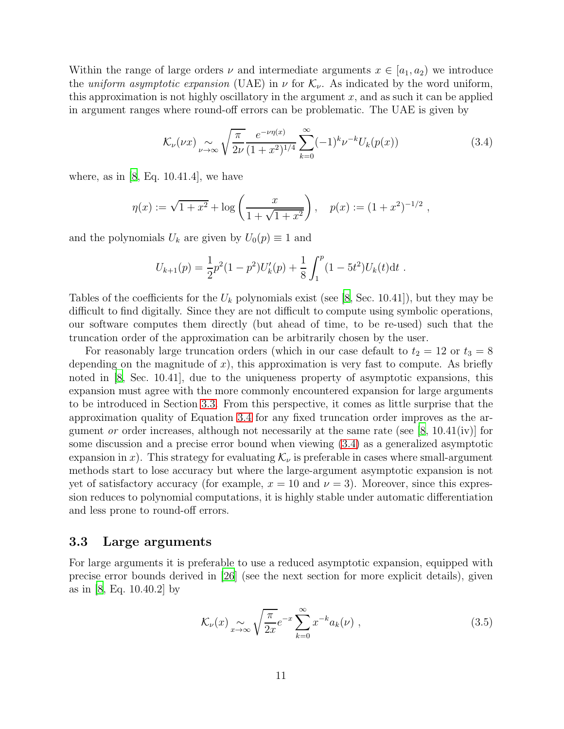Within the range of large orders  $\nu$  and intermediate arguments  $x \in [a_1, a_2)$  we introduce the uniform asymptotic expansion (UAE) in  $\nu$  for  $\mathcal{K}_{\nu}$ . As indicated by the word uniform, this approximation is not highly oscillatory in the argument  $x$ , and as such it can be applied in argument ranges where round-off errors can be problematic. The UAE is given by

<span id="page-10-1"></span>
$$
\mathcal{K}_{\nu}(\nu x) \underset{\nu \to \infty}{\sim} \sqrt{\frac{\pi}{2\nu}} \frac{e^{-\nu \eta(x)}}{(1+x^2)^{1/4}} \sum_{k=0}^{\infty} (-1)^k \nu^{-k} U_k(p(x)) \tag{3.4}
$$

where, as in  $\vert 8$ , Eq. 10.41.4, we have

$$
\eta(x) := \sqrt{1 + x^2} + \log\left(\frac{x}{1 + \sqrt{1 + x^2}}\right), \quad p(x) := (1 + x^2)^{-1/2},
$$

and the polynomials  $U_k$  are given by  $U_0(p) \equiv 1$  and

$$
U_{k+1}(p) = \frac{1}{2}p^2(1-p^2)U'_k(p) + \frac{1}{8}\int_1^p(1-5t^2)U_k(t)\mathrm{d}t.
$$

Tables of the coefficients for the  $U_k$  polynomials exist (see [\[8](#page-23-0), Sec. 10.41]), but they may be difficult to find digitally. Since they are not difficult to compute using symbolic operations, our software computes them directly (but ahead of time, to be re-used) such that the truncation order of the approximation can be arbitrarily chosen by the user.

For reasonably large truncation orders (which in our case default to  $t_2 = 12$  or  $t_3 = 8$ depending on the magnitude of  $x$ ), this approximation is very fast to compute. As briefly noted in [\[8,](#page-23-0) Sec. 10.41], due to the uniqueness property of asymptotic expansions, this expansion must agree with the more commonly encountered expansion for large arguments to be introduced in Section [3.3.](#page-10-0) From this perspective, it comes as little surprise that the approximation quality of Equation [3.4](#page-10-1) for any fixed truncation order improves as the argument *or* order increases, although not necessarily at the same rate (see [\[8](#page-23-0), 10.41(iv)] for some discussion and a precise error bound when viewing [\(3.4\)](#page-10-1) as a generalized asymptotic expansion in x). This strategy for evaluating  $\mathcal{K}_{\nu}$  is preferable in cases where small-argument methods start to lose accuracy but where the large-argument asymptotic expansion is not yet of satisfactory accuracy (for example,  $x = 10$  and  $\nu = 3$ ). Moreover, since this expression reduces to polynomial computations, it is highly stable under automatic differentiation and less prone to round-off errors.

#### <span id="page-10-0"></span>3.3 Large arguments

For large arguments it is preferable to use a reduced asymptotic expansion, equipped with precise error bounds derived in [\[26\]](#page-24-12) (see the next section for more explicit details), given as in [\[8,](#page-23-0) Eq. 10.40.2] by

<span id="page-10-2"></span>
$$
\mathcal{K}_{\nu}(x) \underset{x \to \infty}{\sim} \sqrt{\frac{\pi}{2x}} e^{-x} \sum_{k=0}^{\infty} x^{-k} a_k(\nu) , \qquad (3.5)
$$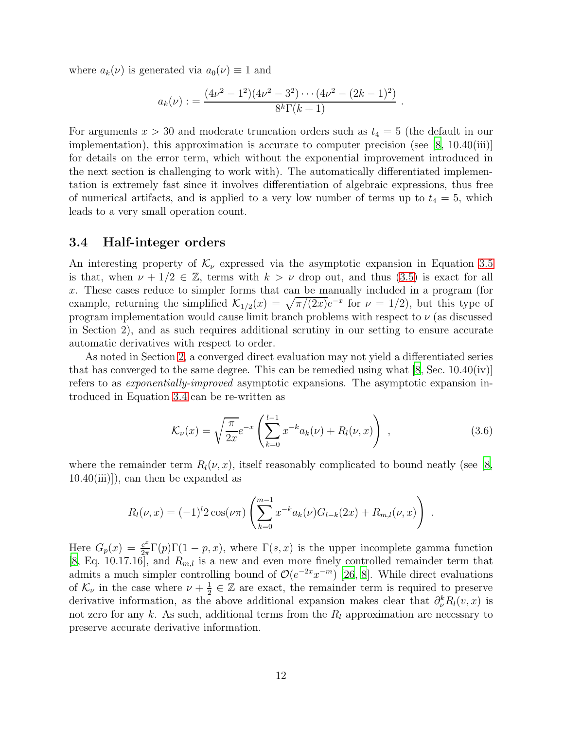where  $a_k(\nu)$  is generated via  $a_0(\nu) \equiv 1$  and

$$
a_k(\nu) := \frac{(4\nu^2 - 1^2)(4\nu^2 - 3^2) \cdots (4\nu^2 - (2k - 1)^2)}{8^k \Gamma(k + 1)}.
$$

For arguments  $x > 30$  and moderate truncation orders such as  $t_4 = 5$  (the default in our implementation), this approximation is accurate to computer precision (see  $(8, 10.40(iii))$ for details on the error term, which without the exponential improvement introduced in the next section is challenging to work with). The automatically differentiated implementation is extremely fast since it involves differentiation of algebraic expressions, thus free of numerical artifacts, and is applied to a very low number of terms up to  $t_4 = 5$ , which leads to a very small operation count.

#### <span id="page-11-0"></span>3.4 Half-integer orders

An interesting property of  $\mathcal{K}_{\nu}$  expressed via the asymptotic expansion in Equation [3.5](#page-10-2) is that, when  $\nu + 1/2 \in \mathbb{Z}$ , terms with  $k > \nu$  drop out, and thus [\(3.5\)](#page-10-2) is exact for all x. These cases reduce to simpler forms that can be manually included in a program (for example, returning the simplified  $\mathcal{K}_{1/2}(x) = \sqrt{\pi/(2x)}e^{-x}$  for  $\nu = 1/2$ , but this type of program implementation would cause limit branch problems with respect to  $\nu$  (as discussed in Section 2), and as such requires additional scrutiny in our setting to ensure accurate automatic derivatives with respect to order.

As noted in Section [2,](#page-4-0) a converged direct evaluation may not yield a differentiated series that has converged to the same degree. This can be remedied using what  $[8, Sec. 10.40(iv)]$ refers to as exponentially-improved asymptotic expansions. The asymptotic expansion introduced in Equation [3.4](#page-10-1) can be re-written as

<span id="page-11-1"></span>
$$
\mathcal{K}_{\nu}(x) = \sqrt{\frac{\pi}{2x}} e^{-x} \left( \sum_{k=0}^{l-1} x^{-k} a_k(\nu) + R_l(\nu, x) \right) , \qquad (3.6)
$$

.

where the remainder term  $R_l(\nu, x)$ , itself reasonably complicated to bound neatly (see [\[8](#page-23-0), 10.40(iii)]), can then be expanded as

$$
R_l(\nu, x) = (-1)^l 2 \cos(\nu \pi) \left( \sum_{k=0}^{m-1} x^{-k} a_k(\nu) G_{l-k}(2x) + R_{m,l}(\nu, x) \right)
$$

Here  $G_p(x) = \frac{e^x}{2\pi}$  $\frac{e^x}{2\pi}\Gamma(p)\Gamma(1-p,x)$ , where  $\Gamma(s,x)$  is the upper incomplete gamma function [\[8](#page-23-0), Eq. 10.17.16], and  $R_{m,l}$  is a new and even more finely controlled remainder term that admits a much simpler controlling bound of  $\mathcal{O}(e^{-2x}x^{-m})$  [\[26](#page-24-12), [8](#page-23-0)]. While direct evaluations of  $\mathcal{K}_{\nu}$  in the case where  $\nu + \frac{1}{2}$  $\frac{1}{2} \in \mathbb{Z}$  are exact, the remainder term is required to preserve derivative information, as the above additional expansion makes clear that  $\partial_{\nu}^{k}R_{l}(v, x)$  is not zero for any k. As such, additional terms from the  $R_l$  approximation are necessary to preserve accurate derivative information.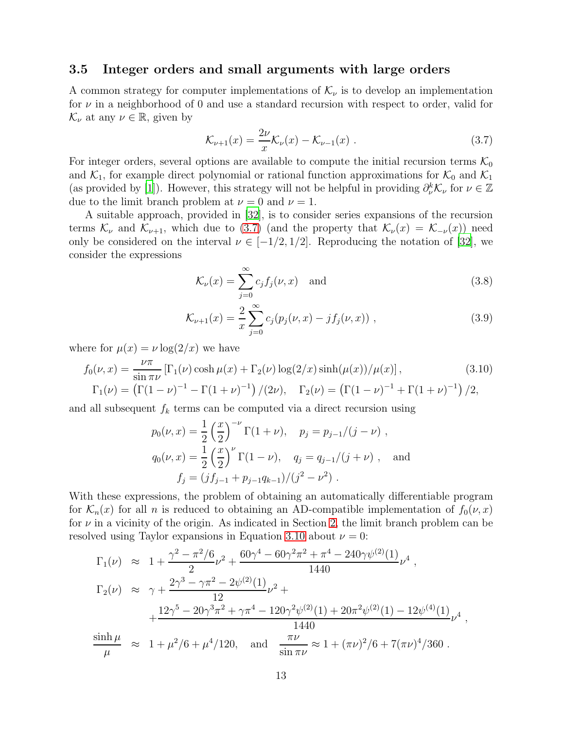#### <span id="page-12-0"></span>3.5 Integer orders and small arguments with large orders

A common strategy for computer implementations of  $\mathcal{K}_{\nu}$  is to develop an implementation for  $\nu$  in a neighborhood of 0 and use a standard recursion with respect to order, valid for  $\mathcal{K}_{\nu}$  at any  $\nu \in \mathbb{R}$ , given by

<span id="page-12-1"></span>
$$
\mathcal{K}_{\nu+1}(x) = \frac{2\nu}{x}\mathcal{K}_{\nu}(x) - \mathcal{K}_{\nu-1}(x) .
$$
 (3.7)

For integer orders, several options are available to compute the initial recursion terms  $\mathcal{K}_0$ and  $\mathcal{K}_1$ , for example direct polynomial or rational function approximations for  $\mathcal{K}_0$  and  $\mathcal{K}_1$ (as provided by [\[1\]](#page-22-5)). However, this strategy will not be helpful in providing  $\partial_{\nu}^{k} \mathcal{K}_{\nu}$  for  $\nu \in \mathbb{Z}$ due to the limit branch problem at  $\nu = 0$  and  $\nu = 1$ .

A suitable approach, provided in [\[32\]](#page-24-6), is to consider series expansions of the recursion terms  $\mathcal{K}_{\nu}$  and  $\mathcal{K}_{\nu+1}$ , which due to [\(3.7\)](#page-12-1) (and the property that  $\mathcal{K}_{\nu}(x) = \mathcal{K}_{-\nu}(x)$ ) need only be considered on the interval  $\nu \in [-1/2, 1/2]$ . Reproducing the notation of [\[32\]](#page-24-6), we consider the expressions

<span id="page-12-2"></span>
$$
\mathcal{K}_{\nu}(x) = \sum_{j=0}^{\infty} c_j f_j(\nu, x) \quad \text{and} \tag{3.8}
$$

<span id="page-12-3"></span>
$$
\mathcal{K}_{\nu+1}(x) = \frac{2}{x} \sum_{j=0}^{\infty} c_j (p_j(\nu, x) - j f_j(\nu, x)), \qquad (3.9)
$$

where for  $\mu(x) = \nu \log(2/x)$  we have

$$
f_0(\nu, x) = \frac{\nu \pi}{\sin \pi \nu} \left[ \Gamma_1(\nu) \cosh \mu(x) + \Gamma_2(\nu) \log(2/x) \sinh(\mu(x)) / \mu(x) \right],
$$
\n(3.10)  
\n
$$
\Gamma_1(\nu) = \left( \Gamma(1 - \nu)^{-1} - \Gamma(1 + \nu)^{-1} \right) / (2\nu), \quad \Gamma_2(\nu) = \left( \Gamma(1 - \nu)^{-1} + \Gamma(1 + \nu)^{-1} \right) / 2,
$$

and all subsequent  $f_k$  terms can be computed via a direct recursion using

$$
p_0(\nu, x) = \frac{1}{2} \left(\frac{x}{2}\right)^{-\nu} \Gamma(1 + \nu), \quad p_j = p_{j-1}/(j - \nu),
$$
  
\n
$$
q_0(\nu, x) = \frac{1}{2} \left(\frac{x}{2}\right)^{\nu} \Gamma(1 - \nu), \quad q_j = q_{j-1}/(j + \nu), \quad \text{and}
$$
  
\n
$$
f_j = (jf_{j-1} + p_{j-1}q_{k-1})/(j^2 - \nu^2).
$$

With these expressions, the problem of obtaining an automatically differentiable program for  $\mathcal{K}_n(x)$  for all n is reduced to obtaining an AD-compatible implementation of  $f_0(\nu, x)$ for  $\nu$  in a vicinity of the origin. As indicated in Section [2,](#page-4-0) the limit branch problem can be resolved using Taylor expansions in Equation [3.10](#page-12-3) about  $\nu = 0$ :

$$
\Gamma_1(\nu) \approx 1 + \frac{\gamma^2 - \pi^2/6}{2} \nu^2 + \frac{60\gamma^4 - 60\gamma^2\pi^2 + \pi^4 - 240\gamma\psi^{(2)}(1)}{1440} \nu^4,
$$
  
\n
$$
\Gamma_2(\nu) \approx \gamma + \frac{2\gamma^3 - \gamma\pi^2 - 2\psi^{(2)}(1)}{12} \nu^2 +
$$
  
\n
$$
+ \frac{12\gamma^5 - 20\gamma^3\pi^2 + \gamma\pi^4 - 120\gamma^2\psi^{(2)}(1) + 20\pi^2\psi^{(2)}(1) - 12\psi^{(4)}(1)}{1440} \nu^4,
$$
  
\n
$$
\frac{\sinh\mu}{\mu} \approx 1 + \mu^2/6 + \mu^4/120, \text{ and } \frac{\pi\nu}{\sin\pi\nu} \approx 1 + (\pi\nu)^2/6 + 7(\pi\nu)^4/360.
$$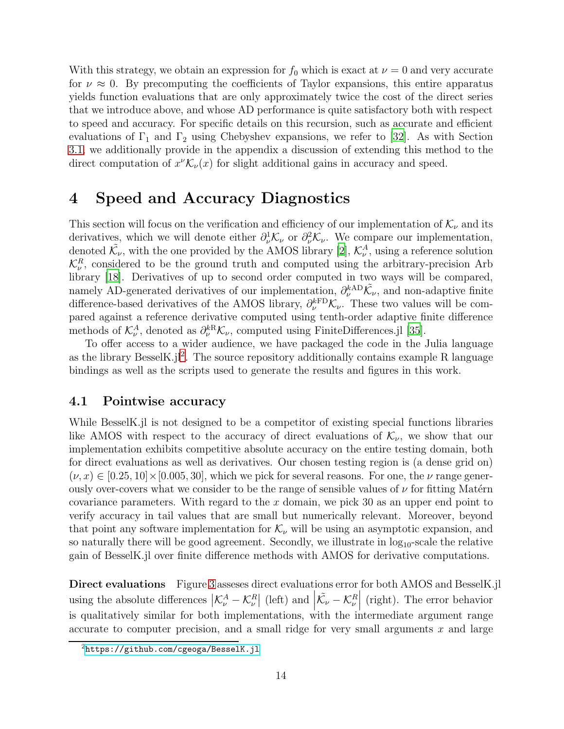With this strategy, we obtain an expression for  $f_0$  which is exact at  $\nu = 0$  and very accurate for  $\nu \approx 0$ . By precomputing the coefficients of Taylor expansions, this entire apparatus yields function evaluations that are only approximately twice the cost of the direct series that we introduce above, and whose AD performance is quite satisfactory both with respect to speed and accuracy. For specific details on this recursion, such as accurate and efficient evaluations of  $\Gamma_1$  and  $\Gamma_2$  using Chebyshev expansions, we refer to [\[32](#page-24-6)]. As with Section [3.1,](#page-8-1) we additionally provide in the appendix a discussion of extending this method to the direct computation of  $x^{\nu} \mathcal{K}_{\nu}(x)$  for slight additional gains in accuracy and speed.

## <span id="page-13-0"></span>4 Speed and Accuracy Diagnostics

This section will focus on the verification and efficiency of our implementation of  $\mathcal{K}_{\nu}$  and its derivatives, which we will denote either  $\partial_{\nu}^{1} \mathcal{K}_{\nu}$  or  $\partial_{\nu}^{2} \mathcal{K}_{\nu}$ . We compare our implementation, denoted  $\tilde{\mathcal{K}}_{\nu}$ , with the one provided by the AMOS library [\[2](#page-22-1)],  $\mathcal{K}_{\nu}^A$ , using a reference solution  $\mathcal{K}_{\nu}^{R}$ , considered to be the ground truth and computed using the arbitrary-precision Arb library [\[18\]](#page-23-12). Derivatives of up to second order computed in two ways will be compared, namely AD-generated derivatives of our implementation,  $\partial_{\nu}^{kAD}\tilde{\mathcal{K}}_{\nu}$ , and non-adaptive finite difference-based derivatives of the AMOS library,  $\partial_{\nu}^{kFD} \mathcal{K}_{\nu}$ . These two values will be compared against a reference derivative computed using tenth-order adaptive finite difference methods of  $\mathcal{K}_{\nu}^A$ , denoted as  $\partial_{\nu}^{kR}\mathcal{K}_{\nu}$ , computed using FiniteDifferences.jl [\[35](#page-25-1)].

To offer access to a wider audience, we have packaged the code in the Julia language as the library BesselK.jl<sup>[2](#page-13-1)</sup>. The source repository additionally contains example R language bindings as well as the scripts used to generate the results and figures in this work.

#### 4.1 Pointwise accuracy

While BesselK.jl is not designed to be a competitor of existing special functions libraries like AMOS with respect to the accuracy of direct evaluations of  $\mathcal{K}_{\nu}$ , we show that our implementation exhibits competitive absolute accuracy on the entire testing domain, both for direct evaluations as well as derivatives. Our chosen testing region is (a dense grid on)  $(\nu, x) \in [0.25, 10] \times [0.005, 30]$ , which we pick for several reasons. For one, the  $\nu$  range generously over-covers what we consider to be the range of sensible values of  $\nu$  for fitting Matérn covariance parameters. With regard to the  $x$  domain, we pick 30 as an upper end point to verify accuracy in tail values that are small but numerically relevant. Moreover, beyond that point any software implementation for  $\mathcal{K}_{\nu}$  will be using an asymptotic expansion, and so naturally there will be good agreement. Secondly, we illustrate in  $log_{10}$ -scale the relative gain of BesselK.jl over finite difference methods with AMOS for derivative computations.

Direct evaluations Figure [3](#page-14-0) asseses direct evaluations error for both AMOS and BesselK.jl using the absolute differences  $|\mathcal{K}_{\nu}^{A} - \mathcal{K}_{\nu}^{R}|$  (left) and  $|\tilde{\mathcal{K}}_{\nu} - \mathcal{K}_{\nu}^{R}|$    (right). The error behavior is qualitatively similar for both implementations, with the intermediate argument range accurate to computer precision, and a small ridge for very small arguments  $x$  and large

<span id="page-13-1"></span><sup>2</sup><https://github.com/cgeoga/BesselK.jl>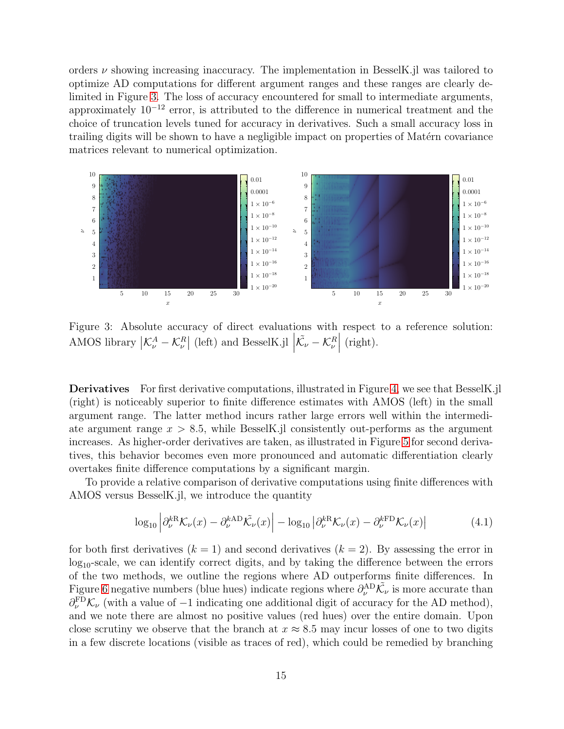orders  $\nu$  showing increasing inaccuracy. The implementation in BesselK.jl was tailored to optimize AD computations for different argument ranges and these ranges are clearly delimited in Figure [3.](#page-14-0) The loss of accuracy encountered for small to intermediate arguments, approximately 10<sup>−</sup><sup>12</sup> error, is attributed to the difference in numerical treatment and the choice of truncation levels tuned for accuracy in derivatives. Such a small accuracy loss in trailing digits will be shown to have a negligible impact on properties of Matérn covariance matrices relevant to numerical optimization.

<span id="page-14-0"></span>

Figure 3: Absolute accuracy of direct evaluations with respect to a reference solution: AMOS library  $K^A_\nu - K^R_\nu$  (left) and BesselK.jl  $|\tilde{\mathcal{K}}_\nu - \mathcal{K}^R_\nu|$  $\Big|$  (right).

Derivatives For first derivative computations, illustrated in Figure [4,](#page-15-0) we see that BesselK.jl (right) is noticeably superior to finite difference estimates with AMOS (left) in the small argument range. The latter method incurs rather large errors well within the intermediate argument range  $x > 8.5$ , while BesselK.jl consistently out-performs as the argument increases. As higher-order derivatives are taken, as illustrated in Figure [5](#page-15-1) for second derivatives, this behavior becomes even more pronounced and automatic differentiation clearly overtakes finite difference computations by a significant margin.

To provide a relative comparison of derivative computations using finite differences with AMOS versus BesselK.jl, we introduce the quantity

<span id="page-14-1"></span>
$$
\log_{10} \left| \partial_{\nu}^{kR} \mathcal{K}_{\nu}(x) - \partial_{\nu}^{kAD} \tilde{\mathcal{K}}_{\nu}(x) \right| - \log_{10} \left| \partial_{\nu}^{kR} \mathcal{K}_{\nu}(x) - \partial_{\nu}^{kFD} \mathcal{K}_{\nu}(x) \right| \tag{4.1}
$$

for both first derivatives  $(k = 1)$  and second derivatives  $(k = 2)$ . By assessing the error in  $log_{10}$ -scale, we can identify correct digits, and by taking the difference between the errors of the two methods, we outline the regions where AD outperforms finite differences. In Figure [6](#page-16-1) negative numbers (blue hues) indicate regions where  $\partial_{\nu}^{\text{AD}}\tilde{\mathcal{K}}_{\nu}$  is more accurate than  $\partial_{\nu}^{\text{FD}}\mathcal{K}_{\nu}$  (with a value of -1 indicating one additional digit of accuracy for the AD method), and we note there are almost no positive values (red hues) over the entire domain. Upon close scrutiny we observe that the branch at  $x \approx 8.5$  may incur losses of one to two digits in a few discrete locations (visible as traces of red), which could be remedied by branching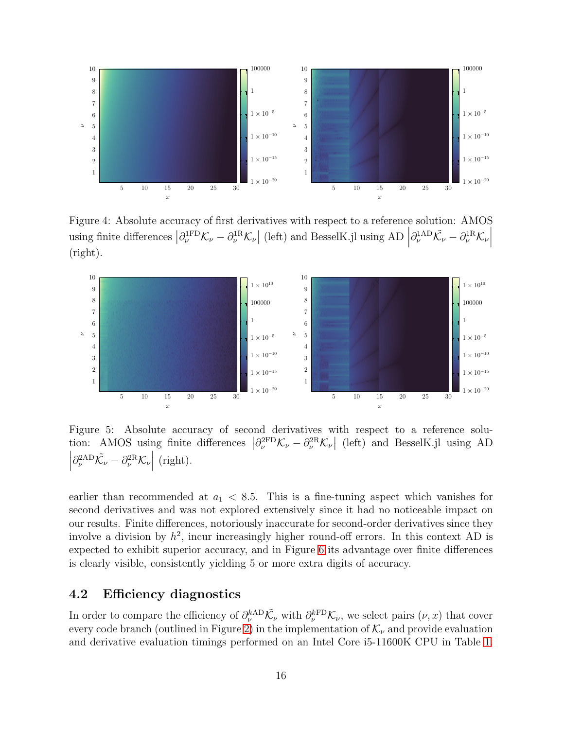<span id="page-15-0"></span>

Figure 4: Absolute accuracy of first derivatives with respect to a reference solution: AMOS using finite differences  $\left|\partial_{\nu}^{1FD}\mathcal{K}_{\nu}-\partial_{\nu}^{1R}\mathcal{K}_{\nu}\right|$  (left) and BesselK.jl using AD  $\left|\partial_{\nu}^{1AD}\tilde{\mathcal{K}}_{\nu}-\partial_{\nu}^{1R}\mathcal{K}_{\nu}\right|$  (right).

<span id="page-15-1"></span>

Figure 5: Absolute accuracy of second derivatives with respect to a reference solution: AMOS using finite differences  $\left|\partial_{\nu}^{2FD}\mathcal{K}_{\nu}-\partial_{\nu}^{2R}\mathcal{K}_{\nu}\right|$  (left) and BesselK.jl using AD  $\left| \partial_\nu^{2 \rm AD} \tilde{\mathcal{K}}_\nu - \partial_\nu^{2 \rm R} \mathcal{K}_\nu \right|$  $\Big|$  (right).

earlier than recommended at  $a_1 < 8.5$ . This is a fine-tuning aspect which vanishes for second derivatives and was not explored extensively since it had no noticeable impact on our results. Finite differences, notoriously inaccurate for second-order derivatives since they involve a division by  $h^2$ , incur increasingly higher round-off errors. In this context AD is expected to exhibit superior accuracy, and in Figure [6](#page-16-1) its advantage over finite differences is clearly visible, consistently yielding 5 or more extra digits of accuracy.

#### 4.2 Efficiency diagnostics

In order to compare the efficiency of  $\partial_{\nu}^{kAD} \tilde{K}_{\nu}$  with  $\partial_{\nu}^{kFD} \mathcal{K}_{\nu}$ , we select pairs  $(\nu, x)$  that cover every code branch (outlined in Figure [2\)](#page-8-0) in the implementation of  $\mathcal{K}_{\nu}$  and provide evaluation and derivative evaluation timings performed on an Intel Core i5-11600K CPU in Table [1.](#page-16-0)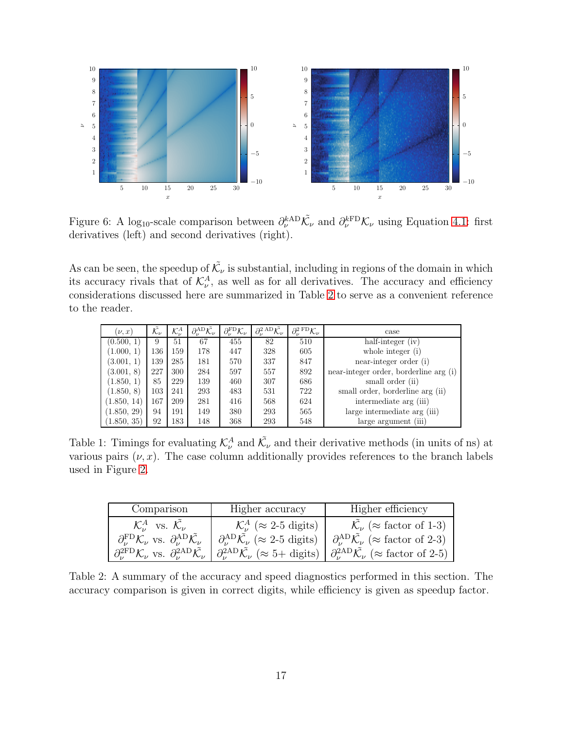<span id="page-16-1"></span>

Figure 6: A log<sub>10</sub>-scale comparison between  $\partial_{\nu}^{kAD}\tilde{\mathcal{K}}_{\nu}$  and  $\partial_{\nu}^{kFD}\mathcal{K}_{\nu}$  using Equation [4.1:](#page-14-1) first derivatives (left) and second derivatives (right).

As can be seen, the speedup of  $\tilde{\mathcal{K}}_{\nu}$  is substantial, including in regions of the domain in which its accuracy rivals that of  $\mathcal{K}^A_\nu$ , as well as for all derivatives. The accuracy and efficiency considerations discussed here are summarized in Table [2](#page-16-2) to serve as a convenient reference to the reader.

<span id="page-16-0"></span>

| $(\nu, x)$  | $\mathcal{\tilde{K}}_{\nu}$ | $\mathcal{K}_{\nu}^{A}$ | $\partial_\nu^{\rm AD} \tilde{\mathcal{K}}_\nu$ | $\partial_{\nu}^{\text{FD}}\mathcal{K}_{\nu}$ | $\partial_{\nu}^{2}{}^{AD}\tilde{\mathcal{K}_{\nu}}$ | $\partial_{\nu}^{2}{}^{\rm FD} \mathcal{K}_{\nu}$ | case                                   |
|-------------|-----------------------------|-------------------------|-------------------------------------------------|-----------------------------------------------|------------------------------------------------------|---------------------------------------------------|----------------------------------------|
| (0.500, 1)  | 9                           | 51                      | 67                                              | 455                                           | 82                                                   | 510                                               | half-integer (iv)                      |
| (1.000, 1)  | 136                         | 159                     | 178                                             | 447                                           | 328                                                  | 605                                               | whole integer $(i)$                    |
| (3.001, 1)  | 139                         | 285                     | 181                                             | 570                                           | 337                                                  | 847                                               | near-integer order (i)                 |
| (3.001, 8)  | 227                         | 300                     | 284                                             | 597                                           | 557                                                  | 892                                               | near-integer order, borderline arg (i) |
| (1.850, 1)  | 85                          | 229                     | 139                                             | 460                                           | 307                                                  | 686                                               | small order (ii)                       |
| (1.850, 8)  | 103                         | 241                     | 293                                             | 483                                           | 531                                                  | 722                                               | small order, borderline arg (ii)       |
| (1.850, 14) | 167                         | 209                     | 281                                             | 416                                           | 568                                                  | 624                                               | intermediate arg (iii)                 |
| (1.850, 29) | 94                          | 191                     | 149                                             | 380                                           | 293                                                  | 565                                               | large intermediate arg (iii)           |
| (1.850, 35) | 92                          | 183                     | 148                                             | 368                                           | 293                                                  | 548                                               | large argument (iii)                   |

Table 1: Timings for evaluating  $\mathcal{K}_{\nu}^{A}$  and  $\tilde{\mathcal{K}}_{\nu}$  and their derivative methods (in units of ns) at various pairs  $(\nu, x)$ . The case column additionally provides references to the branch labels used in Figure [2.](#page-8-0)

<span id="page-16-2"></span>

| Comparison                                                                                              | Higher accuracy                                                                | Higher efficiency                                                             |
|---------------------------------------------------------------------------------------------------------|--------------------------------------------------------------------------------|-------------------------------------------------------------------------------|
| $\mathcal{K}_{\nu}^{A}$ vs. $\mathcal{K}_{\nu}$                                                         | $\mathcal{K}^A_{\nu}$ ( $\approx$ 2-5 digits)                                  | $\mathcal{K}_{\nu}$ ( $\approx$ factor of 1-3)                                |
| $\partial_{\nu}^{\text{FD}}\mathcal{K}_{\nu}$ vs. $\partial_{\nu}^{\text{AD}}\tilde{\mathcal{K}_{\nu}}$ | $\partial_{\nu}^{\rm AD} \tilde{\mathcal{K}}_{\nu}$ ( $\approx$ 2-5 digits)    | $\partial_{\nu}^{\rm AD}\tilde{\mathcal{K}}_{\nu}$ ( $\approx$ factor of 2-3) |
| $\partial_{\nu}^{2FD} \mathcal{K}_{\nu}$ vs. $\partial_{\nu}^{2AD} \tilde{\mathcal{K}}_{\nu}$           | $\partial_{\nu}^{2AD}\tilde{\mathcal{K}}_{\nu}$ ( $\approx 5+\text{ digits}$ ) | $\partial_{\nu}^{2AD}\tilde{\mathcal{K}}_{\nu}$ ( $\approx$ factor of 2-5)    |

Table 2: A summary of the accuracy and speed diagnostics performed in this section. The accuracy comparison is given in correct digits, while efficiency is given as speedup factor.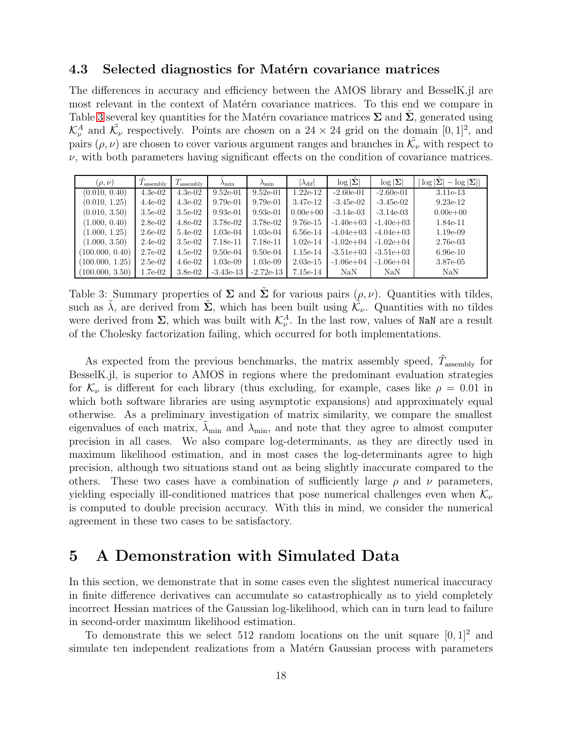#### 4.3 Selected diagnostics for Matérn covariance matrices

The differences in accuracy and efficiency between the AMOS library and BesselK.jl are most relevant in the context of Matérn covariance matrices. To this end we compare in Table [3](#page-17-1) several key quantities for the Matérn covariance matrices  $\Sigma$  and  $\Sigma$ , generated using  $\mathcal{K}_{\nu}^{A}$  and  $\tilde{\mathcal{K}}_{\nu}$  respectively. Points are chosen on a 24 × 24 grid on the domain [0, 1]<sup>2</sup>, and pairs  $(\rho, \nu)$  are chosen to cover various argument ranges and branches in  $\tilde{\mathcal{K}}_{\nu}$  with respect to  $\nu$ , with both parameters having significant effects on the condition of covariance matrices.

<span id="page-17-1"></span>

| $(\rho,\nu)$    | $\mu$ <sub>assembly</sub> | $T_{\rm assembly}$ | $\lambda_{\min}$ | $\lambda_{\min}$ | $ \lambda_{\rm dif} $ | $\log  \mathbf{\Sigma} $ | $\log  \Sigma $ | $\log  \Sigma $<br>$ \log \Sigma $<br>$\hspace{0.1mm}-\hspace{0.1mm}$ |
|-----------------|---------------------------|--------------------|------------------|------------------|-----------------------|--------------------------|-----------------|-----------------------------------------------------------------------|
| (0.010, 0.40)   | $4.3e-02$                 | $4.3e-02$          | $9.52e-01$       | $9.52e-01$       | $1.22e-12$            | $-2.60e-01$              | $-2.60e-01$     | 3.11e-13                                                              |
| (0.010, 1.25)   | $4.4e-02$                 | $4.3e-02$          | $9.79e-01$       | $9.79e-01$       | 3.47e-12              | $-3.45e-02$              | $-3.45e-02$     | $9.23e-12$                                                            |
| (0.010, 3.50)   | $3.5e-02$                 | $3.5e-02$          | $9.93e-01$       | $9.93e-01$       | $0.00e + 00$          | $-3.14e-03$              | $-3.14e-03$     | $0.00e + 00$                                                          |
| (1.000, 0.40)   | $2.8e-02$                 | $4.8e-02$          | $3.78e-02$       | 3.78e-02         | $9.76e-15$            | $-1.40e + 03$            | $-1.40e+03$     | 1.84e-11                                                              |
| (1.000, 1.25)   | $2.6e-02$                 | $5.4e-02$          | $1.03e-04$       | $1.03e-04$       | $6.56e-14$            | $-4.04e+03$              | $-4.04e+03$     | $1.19e-0.9$                                                           |
| (1.000, 3.50)   | $2.4e-02$                 | $3.5e-02$          | 7.18e-11         | 7.18e-11         | $1.02e-14$            | $-1.02e + 04$            | $-1.02e+04$     | 2.76e-03                                                              |
| (100.000, 0.40) | $2.7e-02$                 | $4.5e-02$          | $9.50e-04$       | $9.50e-04$       | $1.15e-14$            | $-3.51e+03$              | $-3.51e+03$     | $6.96e-10$                                                            |
| (100.000, 1.25) | $2.5e-02$                 | $4.6e-02$          | $1.03e-09$       | $1.03e-09$       | $2.03e-15$            | $-1.06e + 04$            | $-1.06e + 04$   | 3.87e-05                                                              |
| (100.000, 3.50) | $1.7e-02$                 | $3.8e-0.2$         | $-3.43e-13$      | $-2.72e-13$      | 7.15e-14              | NaN                      | <b>NaN</b>      | <b>NaN</b>                                                            |

Table 3: Summary properties of  $\Sigma$  and  $\tilde{\Sigma}$  for various pairs  $(\rho, \nu)$ . Quantities with tildes, such as  $\tilde{\lambda}$ , are derived from  $\tilde{\Sigma}$ , which has been built using  $\tilde{\mathcal{K}}_{\nu}$ . Quantities with no tildes were derived from  $\Sigma$ , which was built with  $\mathcal{K}_{\nu}^A$ . In the last row, values of NaN are a result of the Cholesky factorization failing, which occurred for both implementations.

As expected from the previous benchmarks, the matrix assembly speed,  $\tilde{T}_{\text{assembly}}$  for BesselK.jl, is superior to AMOS in regions where the predominant evaluation strategies for  $\mathcal{K}_{\nu}$  is different for each library (thus excluding, for example, cases like  $\rho = 0.01$  in which both software libraries are using asymptotic expansions) and approximately equal otherwise. As a preliminary investigation of matrix similarity, we compare the smallest eigenvalues of each matrix,  $\lambda_{\min}$  and  $\lambda_{\min}$ , and note that they agree to almost computer precision in all cases. We also compare log-determinants, as they are directly used in maximum likelihood estimation, and in most cases the log-determinants agree to high precision, although two situations stand out as being slightly inaccurate compared to the others. These two cases have a combination of sufficiently large  $\rho$  and  $\nu$  parameters, yielding especially ill-conditioned matrices that pose numerical challenges even when  $\mathcal{K}_{\nu}$ is computed to double precision accuracy. With this in mind, we consider the numerical agreement in these two cases to be satisfactory.

### <span id="page-17-0"></span>5 A Demonstration with Simulated Data

In this section, we demonstrate that in some cases even the slightest numerical inaccuracy in finite difference derivatives can accumulate so catastrophically as to yield completely incorrect Hessian matrices of the Gaussian log-likelihood, which can in turn lead to failure in second-order maximum likelihood estimation.

To demonstrate this we select 512 random locations on the unit square  $[0, 1]^2$  and simulate ten independent realizations from a Matérn Gaussian process with parameters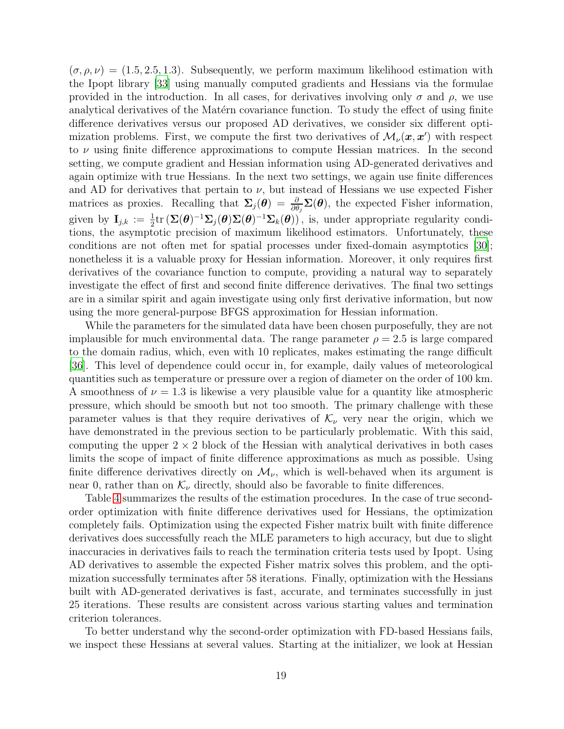$(\sigma, \rho, \nu) = (1.5, 2.5, 1.3)$ . Subsequently, we perform maximum likelihood estimation with the Ipopt library [\[33](#page-24-13)] using manually computed gradients and Hessians via the formulae provided in the introduction. In all cases, for derivatives involving only  $\sigma$  and  $\rho$ , we use analytical derivatives of the Matérn covariance function. To study the effect of using finite difference derivatives versus our proposed AD derivatives, we consider six different optimization problems. First, we compute the first two derivatives of  $\mathcal{M}_{\nu}(\boldsymbol{x}, \boldsymbol{x}')$  with respect to  $\nu$  using finite difference approximations to compute Hessian matrices. In the second setting, we compute gradient and Hessian information using AD-generated derivatives and again optimize with true Hessians. In the next two settings, we again use finite differences and AD for derivatives that pertain to  $\nu$ , but instead of Hessians we use expected Fisher matrices as proxies. Recalling that  $\Sigma_j(\theta) = \frac{\partial}{\partial \theta_j} \Sigma(\theta)$ , the expected Fisher information, given by  $I_{j,k} := \frac{1}{2} \text{tr} (\Sigma(\boldsymbol{\theta})^{-1} \Sigma_j(\boldsymbol{\theta}) \Sigma(\boldsymbol{\theta})^{-1} \Sigma_k(\boldsymbol{\theta}))$ , is, under appropriate regularity conditions, the asymptotic precision of maximum likelihood estimators. Unfortunately, these conditions are not often met for spatial processes under fixed-domain asymptotics [\[30\]](#page-24-1); nonetheless it is a valuable proxy for Hessian information. Moreover, it only requires first derivatives of the covariance function to compute, providing a natural way to separately investigate the effect of first and second finite difference derivatives. The final two settings are in a similar spirit and again investigate using only first derivative information, but now using the more general-purpose BFGS approximation for Hessian information.

While the parameters for the simulated data have been chosen purposefully, they are not implausible for much environmental data. The range parameter  $\rho = 2.5$  is large compared to the domain radius, which, even with 10 replicates, makes estimating the range difficult [\[36\]](#page-25-0). This level of dependence could occur in, for example, daily values of meteorological quantities such as temperature or pressure over a region of diameter on the order of 100 km. A smoothness of  $\nu = 1.3$  is likewise a very plausible value for a quantity like atmospheric pressure, which should be smooth but not too smooth. The primary challenge with these parameter values is that they require derivatives of  $\mathcal{K}_{\nu}$  very near the origin, which we have demonstrated in the previous section to be particularly problematic. With this said, computing the upper  $2 \times 2$  block of the Hessian with analytical derivatives in both cases limits the scope of impact of finite difference approximations as much as possible. Using finite difference derivatives directly on  $\mathcal{M}_{\nu}$ , which is well-behaved when its argument is near 0, rather than on  $\mathcal{K}_{\nu}$  directly, should also be favorable to finite differences.

Table [4](#page-19-0) summarizes the results of the estimation procedures. In the case of true secondorder optimization with finite difference derivatives used for Hessians, the optimization completely fails. Optimization using the expected Fisher matrix built with finite difference derivatives does successfully reach the MLE parameters to high accuracy, but due to slight inaccuracies in derivatives fails to reach the termination criteria tests used by Ipopt. Using AD derivatives to assemble the expected Fisher matrix solves this problem, and the optimization successfully terminates after 58 iterations. Finally, optimization with the Hessians built with AD-generated derivatives is fast, accurate, and terminates successfully in just 25 iterations. These results are consistent across various starting values and termination criterion tolerances.

To better understand why the second-order optimization with FD-based Hessians fails, we inspect these Hessians at several values. Starting at the initializer, we look at Hessian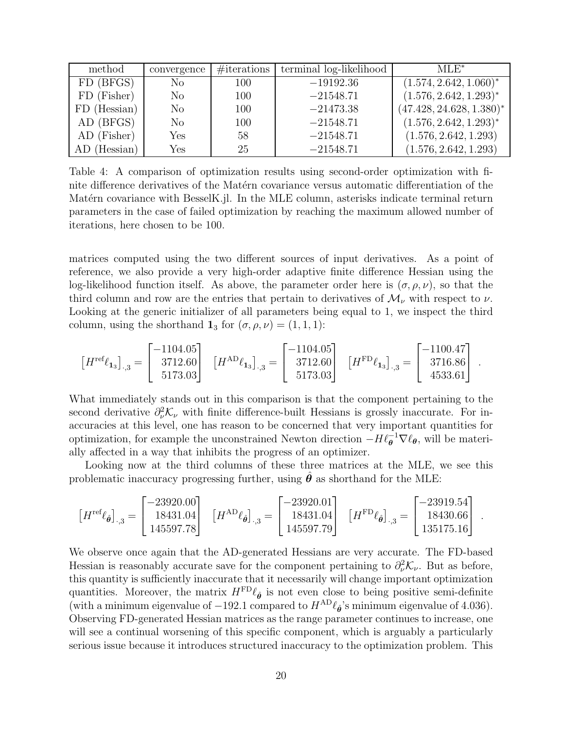<span id="page-19-0"></span>

| method       | convergence    | $\#$ iterations | terminal log-likelihood | $MLE^*$                     |
|--------------|----------------|-----------------|-------------------------|-----------------------------|
| FD (BFGS)    | N <sub>o</sub> | 100             | $-19192.36$             | $(1.574, 2.642, 1.060)^*$   |
| FD (Fisher)  | N <sub>o</sub> | 100             | $-21548.71$             | $(1.576, 2.642, 1.293)^*$   |
| FD (Hessian) | N <sub>o</sub> | 100             | $-21473.38$             | $(47.428, 24.628, 1.380)^*$ |
| AD (BFGS)    | No             | 100             | $-21548.71$             | $(1.576, 2.642, 1.293)^*$   |
| AD (Fisher)  | Yes            | 58              | $-21548.71$             | (1.576, 2.642, 1.293)       |
| AD (Hessian) | Yes            | 25              | $-21548.71$             | (1.576, 2.642, 1.293)       |

Table 4: A comparison of optimization results using second-order optimization with finite difference derivatives of the Matérn covariance versus automatic differentiation of the Matérn covariance with BesselK.jl. In the MLE column, asterisks indicate terminal return parameters in the case of failed optimization by reaching the maximum allowed number of iterations, here chosen to be 100.

matrices computed using the two different sources of input derivatives. As a point of reference, we also provide a very high-order adaptive finite difference Hessian using the log-likelihood function itself. As above, the parameter order here is  $(\sigma, \rho, \nu)$ , so that the third column and row are the entries that pertain to derivatives of  $\mathcal{M}_{\nu}$  with respect to  $\nu$ . Looking at the generic initializer of all parameters being equal to 1, we inspect the third column, using the shorthand  $\mathbf{1}_3$  for  $(\sigma, \rho, \nu) = (1, 1, 1)$ :

$$
\left[H^{\text{ref}}\ell_{1_3}\right]_{\cdot,3} = \begin{bmatrix} -1104.05 \\ 3712.60 \\ 5173.03 \end{bmatrix} \quad \left[H^{\text{AD}}\ell_{1_3}\right]_{\cdot,3} = \begin{bmatrix} -1104.05 \\ 3712.60 \\ 5173.03 \end{bmatrix} \quad \left[H^{\text{FD}}\ell_{1_3}\right]_{\cdot,3} = \begin{bmatrix} -1100.47 \\ 3716.86 \\ 4533.61 \end{bmatrix} \ .
$$

What immediately stands out in this comparison is that the component pertaining to the second derivative  $\partial_{\nu}^2 \mathcal{K}_{\nu}$  with finite difference-built Hessians is grossly inaccurate. For inaccuracies at this level, one has reason to be concerned that very important quantities for optimization, for example the unconstrained Newton direction  $-H \ell_{\theta}^{-1} \nabla \ell_{\theta}$ , will be materially affected in a way that inhibits the progress of an optimizer.

Looking now at the third columns of these three matrices at the MLE, we see this problematic inaccuracy progressing further, using  $\ddot{\theta}$  as shorthand for the MLE:

$$
\left[H^{\text{ref}}\ell_{\hat{\theta}}\right]_{\cdot,3} = \begin{bmatrix} -23920.00 \\ 18431.04 \\ 145597.78 \end{bmatrix} \quad \left[H^{\text{AD}}\ell_{\hat{\theta}}\right]_{\cdot,3} = \begin{bmatrix} -23920.01 \\ 18431.04 \\ 145597.79 \end{bmatrix} \quad \left[H^{\text{FD}}\ell_{\hat{\theta}}\right]_{\cdot,3} = \begin{bmatrix} -23919.54 \\ 18430.66 \\ 135175.16 \end{bmatrix} \ .
$$

We observe once again that the AD-generated Hessians are very accurate. The FD-based Hessian is reasonably accurate save for the component pertaining to  $\partial_{\nu}^{2} \mathcal{K}_{\nu}$ . But as before, this quantity is sufficiently inaccurate that it necessarily will change important optimization quantities. Moreover, the matrix  $H^{\text{FD}}\ell_{\hat{\theta}}$  is not even close to being positive semi-definite (with a minimum eigenvalue of  $-192.1$  compared to  $H^{\text{AD}}\ell_{\hat{\theta}}$ 's minimum eigenvalue of 4.036). Observing FD-generated Hessian matrices as the range parameter continues to increase, one will see a continual worsening of this specific component, which is arguably a particularly serious issue because it introduces structured inaccuracy to the optimization problem. This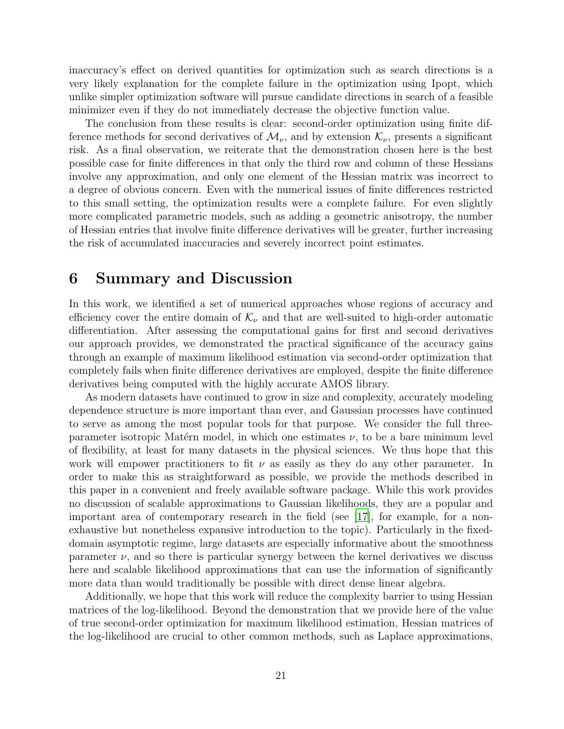inaccuracy's effect on derived quantities for optimization such as search directions is a very likely explanation for the complete failure in the optimization using Ipopt, which unlike simpler optimization software will pursue candidate directions in search of a feasible minimizer even if they do not immediately decrease the objective function value.

The conclusion from these results is clear: second-order optimization using finite difference methods for second derivatives of  $\mathcal{M}_{\nu}$ , and by extension  $\mathcal{K}_{\nu}$ , presents a significant risk. As a final observation, we reiterate that the demonstration chosen here is the best possible case for finite differences in that only the third row and column of these Hessians involve any approximation, and only one element of the Hessian matrix was incorrect to a degree of obvious concern. Even with the numerical issues of finite differences restricted to this small setting, the optimization results were a complete failure. For even slightly more complicated parametric models, such as adding a geometric anisotropy, the number of Hessian entries that involve finite difference derivatives will be greater, further increasing the risk of accumulated inaccuracies and severely incorrect point estimates.

### 6 Summary and Discussion

In this work, we identified a set of numerical approaches whose regions of accuracy and efficiency cover the entire domain of  $\mathcal{K}_{\nu}$  and that are well-suited to high-order automatic differentiation. After assessing the computational gains for first and second derivatives our approach provides, we demonstrated the practical significance of the accuracy gains through an example of maximum likelihood estimation via second-order optimization that completely fails when finite difference derivatives are employed, despite the finite difference derivatives being computed with the highly accurate AMOS library.

As modern datasets have continued to grow in size and complexity, accurately modeling dependence structure is more important than ever, and Gaussian processes have continued to serve as among the most popular tools for that purpose. We consider the full threeparameter isotropic Matérn model, in which one estimates  $\nu$ , to be a bare minimum level of flexibility, at least for many datasets in the physical sciences. We thus hope that this work will empower practitioners to fit  $\nu$  as easily as they do any other parameter. In order to make this as straightforward as possible, we provide the methods described in this paper in a convenient and freely available software package. While this work provides no discussion of scalable approximations to Gaussian likelihoods, they are a popular and important area of contemporary research in the field (see [\[17](#page-23-13)], for example, for a nonexhaustive but nonetheless expansive introduction to the topic). Particularly in the fixeddomain asymptotic regime, large datasets are especially informative about the smoothness parameter  $\nu$ , and so there is particular synergy between the kernel derivatives we discuss here and scalable likelihood approximations that can use the information of significantly more data than would traditionally be possible with direct dense linear algebra.

Additionally, we hope that this work will reduce the complexity barrier to using Hessian matrices of the log-likelihood. Beyond the demonstration that we provide here of the value of true second-order optimization for maximum likelihood estimation, Hessian matrices of the log-likelihood are crucial to other common methods, such as Laplace approximations,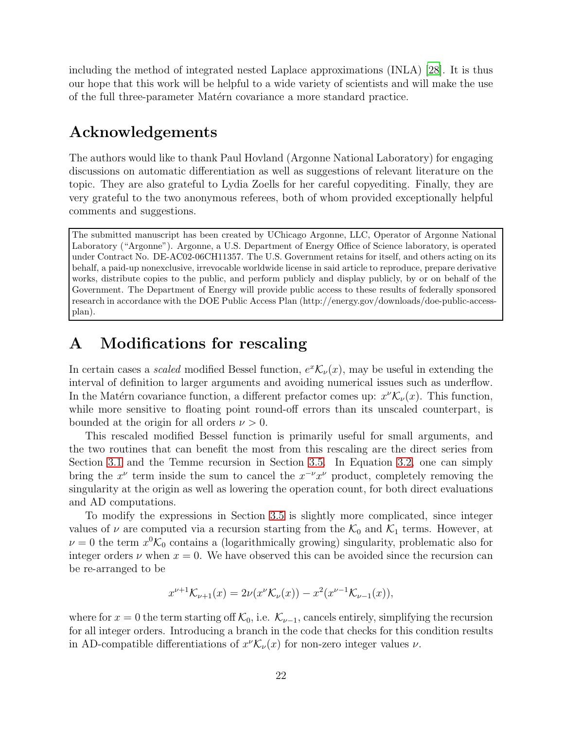including the method of integrated nested Laplace approximations (INLA) [\[28](#page-24-14)]. It is thus our hope that this work will be helpful to a wide variety of scientists and will make the use of the full three-parameter Matérn covariance a more standard practice.

# Acknowledgements

The authors would like to thank Paul Hovland (Argonne National Laboratory) for engaging discussions on automatic differentiation as well as suggestions of relevant literature on the topic. They are also grateful to Lydia Zoells for her careful copyediting. Finally, they are very grateful to the two anonymous referees, both of whom provided exceptionally helpful comments and suggestions.

The submitted manuscript has been created by UChicago Argonne, LLC, Operator of Argonne National Laboratory ("Argonne"). Argonne, a U.S. Department of Energy Office of Science laboratory, is operated under Contract No. DE-AC02-06CH11357. The U.S. Government retains for itself, and others acting on its behalf, a paid-up nonexclusive, irrevocable worldwide license in said article to reproduce, prepare derivative works, distribute copies to the public, and perform publicly and display publicly, by or on behalf of the Government. The Department of Energy will provide public access to these results of federally sponsored research in accordance with the DOE Public Access Plan (http://energy.gov/downloads/doe-public-accessplan).

# <span id="page-21-0"></span>A Modifications for rescaling

In certain cases a *scaled* modified Bessel function,  $e^x \mathcal{K}_{\nu}(x)$ , may be useful in extending the interval of definition to larger arguments and avoiding numerical issues such as underflow. In the Matérn covariance function, a different prefactor comes up:  $x^{\nu} \mathcal{K}_{\nu}(x)$ . This function, while more sensitive to floating point round-off errors than its unscaled counterpart, is bounded at the origin for all orders  $\nu > 0$ .

This rescaled modified Bessel function is primarily useful for small arguments, and the two routines that can benefit the most from this rescaling are the direct series from Section [3.1](#page-8-1) and the Temme recursion in Section [3.5.](#page-12-0) In Equation [3.2,](#page-9-1) one can simply bring the  $x^{\nu}$  term inside the sum to cancel the  $x^{-\nu}x^{\nu}$  product, completely removing the singularity at the origin as well as lowering the operation count, for both direct evaluations and AD computations.

To modify the expressions in Section [3.5](#page-12-0) is slightly more complicated, since integer values of  $\nu$  are computed via a recursion starting from the  $\mathcal{K}_0$  and  $\mathcal{K}_1$  terms. However, at  $\nu = 0$  the term  $x^0 \mathcal{K}_0$  contains a (logarithmically growing) singularity, problematic also for integer orders  $\nu$  when  $x = 0$ . We have observed this can be avoided since the recursion can be re-arranged to be

$$
x^{\nu+1} \mathcal{K}_{\nu+1}(x) = 2\nu(x^{\nu} \mathcal{K}_{\nu}(x)) - x^2(x^{\nu-1} \mathcal{K}_{\nu-1}(x)),
$$

where for  $x = 0$  the term starting off  $\mathcal{K}_0$ , i.e.  $\mathcal{K}_{\nu-1}$ , cancels entirely, simplifying the recursion for all integer orders. Introducing a branch in the code that checks for this condition results in AD-compatible differentiations of  $x^{\nu} \mathcal{K}_{\nu}(x)$  for non-zero integer values  $\nu$ .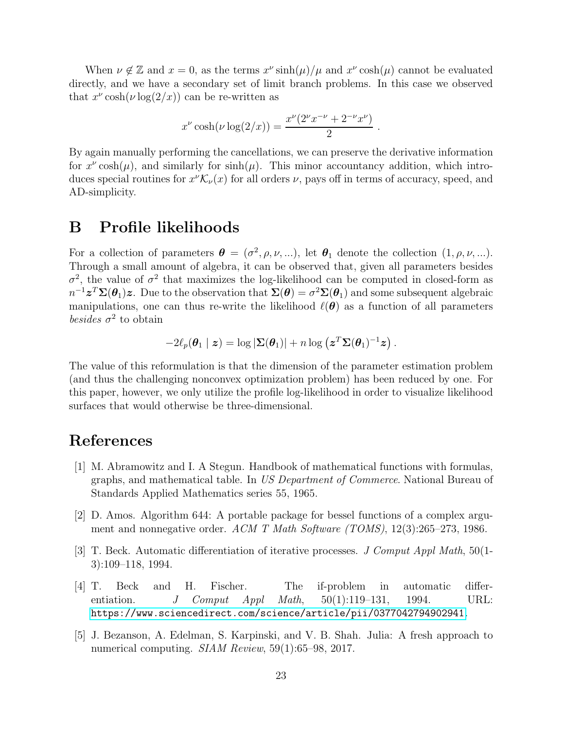When  $\nu \notin \mathbb{Z}$  and  $x = 0$ , as the terms  $x^{\nu} \sinh(\mu)/\mu$  and  $x^{\nu} \cosh(\mu)$  cannot be evaluated directly, and we have a secondary set of limit branch problems. In this case we observed that  $x^{\nu} \cosh(\nu \log(2/x))$  can be re-written as

$$
x^{\nu}\cosh(\nu\log(2/x)) = \frac{x^{\nu}(2^{\nu}x^{-\nu} + 2^{-\nu}x^{\nu})}{2}.
$$

By again manually performing the cancellations, we can preserve the derivative information for  $x^{\nu} \cosh(\mu)$ , and similarly for  $\sinh(\mu)$ . This minor accountancy addition, which introduces special routines for  $x^{\nu} \mathcal{K}_{\nu}(x)$  for all orders  $\nu$ , pays off in terms of accuracy, speed, and AD-simplicity.

### <span id="page-22-0"></span>B Profile likelihoods

For a collection of parameters  $\boldsymbol{\theta} = (\sigma^2, \rho, \nu, \ldots)$ , let  $\boldsymbol{\theta}_1$  denote the collection  $(1, \rho, \nu, \ldots)$ . Through a small amount of algebra, it can be observed that, given all parameters besides  $\sigma^2$ , the value of  $\sigma^2$  that maximizes the log-likelihood can be computed in closed-form as  $n^{-1}z^T\Sigma(\theta_1)z$ . Due to the observation that  $\Sigma(\theta)=\sigma^2\Sigma(\theta_1)$  and some subsequent algebraic manipulations, one can thus re-write the likelihood  $\ell(\theta)$  as a function of all parameters besides  $\sigma^2$  to obtain

$$
-2\ell_p(\boldsymbol{\theta}_1 \mid \boldsymbol{z}) = \log |\boldsymbol{\Sigma}(\boldsymbol{\theta}_1)| + n \log (\boldsymbol{z}^T \boldsymbol{\Sigma}(\boldsymbol{\theta}_1)^{-1} \boldsymbol{z}).
$$

The value of this reformulation is that the dimension of the parameter estimation problem (and thus the challenging nonconvex optimization problem) has been reduced by one. For this paper, however, we only utilize the profile log-likelihood in order to visualize likelihood surfaces that would otherwise be three-dimensional.

## References

- <span id="page-22-5"></span>[1] M. Abramowitz and I. A Stegun. Handbook of mathematical functions with formulas, graphs, and mathematical table. In US Department of Commerce. National Bureau of Standards Applied Mathematics series 55, 1965.
- <span id="page-22-1"></span>[2] D. Amos. Algorithm 644: A portable package for bessel functions of a complex argument and nonnegative order. ACM T Math Software (TOMS), 12(3):265–273, 1986.
- <span id="page-22-3"></span>[3] T. Beck. Automatic differentiation of iterative processes. J Comput Appl Math, 50(1- 3):109–118, 1994.
- <span id="page-22-4"></span>[4] T. Beck and H. Fischer. The if-problem in automatic differentiation. J Comput Appl Math,  $50(1):119-131$ , 1994. URL: <https://www.sciencedirect.com/science/article/pii/0377042794902941>.
- <span id="page-22-2"></span>[5] J. Bezanson, A. Edelman, S. Karpinski, and V. B. Shah. Julia: A fresh approach to numerical computing. *SIAM Review*, 59(1):65–98, 2017.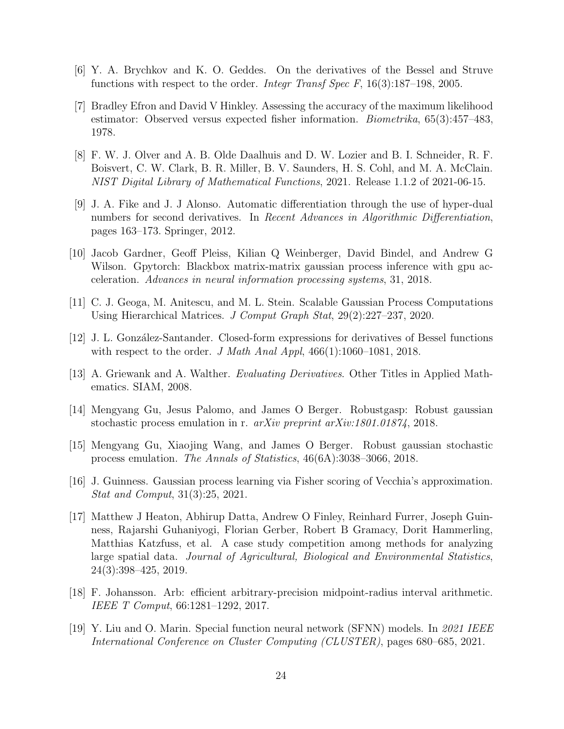- <span id="page-23-3"></span>[6] Y. A. Brychkov and K. O. Geddes. On the derivatives of the Bessel and Struve functions with respect to the order. *Integr Transf Spec F*,  $16(3):187-198$ , 2005.
- <span id="page-23-5"></span>[7] Bradley Efron and David V Hinkley. Assessing the accuracy of the maximum likelihood estimator: Observed versus expected fisher information. Biometrika, 65(3):457–483, 1978.
- <span id="page-23-0"></span>[8] F. W. J. Olver and A. B. Olde Daalhuis and D. W. Lozier and B. I. Schneider, R. F. Boisvert, C. W. Clark, B. R. Miller, B. V. Saunders, H. S. Cohl, and M. A. McClain. NIST Digital Library of Mathematical Functions, 2021. Release 1.1.2 of 2021-06-15.
- <span id="page-23-9"></span>[9] J. A. Fike and J. J Alonso. Automatic differentiation through the use of hyper-dual numbers for second derivatives. In Recent Advances in Algorithmic Differentiation, pages 163–173. Springer, 2012.
- <span id="page-23-6"></span>[10] Jacob Gardner, Geoff Pleiss, Kilian Q Weinberger, David Bindel, and Andrew G Wilson. Gpytorch: Blackbox matrix-matrix gaussian process inference with gpu acceleration. Advances in neural information processing systems, 31, 2018.
- <span id="page-23-1"></span>[11] C. J. Geoga, M. Anitescu, and M. L. Stein. Scalable Gaussian Process Computations Using Hierarchical Matrices. J Comput Graph Stat, 29(2):227–237, 2020.
- <span id="page-23-4"></span>[12] J. L. González-Santander. Closed-form expressions for derivatives of Bessel functions with respect to the order. J Math Anal Appl,  $466(1):1060-1081$ , 2018.
- <span id="page-23-10"></span>[13] A. Griewank and A. Walther. Evaluating Derivatives. Other Titles in Applied Mathematics. SIAM, 2008.
- <span id="page-23-8"></span>[14] Mengyang Gu, Jesus Palomo, and James O Berger. Robustgasp: Robust gaussian stochastic process emulation in r. arXiv preprint arXiv:1801.01874, 2018.
- <span id="page-23-7"></span>[15] Mengyang Gu, Xiaojing Wang, and James O Berger. Robust gaussian stochastic process emulation. The Annals of Statistics, 46(6A):3038–3066, 2018.
- <span id="page-23-2"></span>[16] J. Guinness. Gaussian process learning via Fisher scoring of Vecchia's approximation. Stat and Comput, 31(3):25, 2021.
- <span id="page-23-13"></span>[17] Matthew J Heaton, Abhirup Datta, Andrew O Finley, Reinhard Furrer, Joseph Guinness, Rajarshi Guhaniyogi, Florian Gerber, Robert B Gramacy, Dorit Hammerling, Matthias Katzfuss, et al. A case study competition among methods for analyzing large spatial data. Journal of Agricultural, Biological and Environmental Statistics, 24(3):398–425, 2019.
- <span id="page-23-12"></span>[18] F. Johansson. Arb: efficient arbitrary-precision midpoint-radius interval arithmetic. IEEE T Comput, 66:1281–1292, 2017.
- <span id="page-23-11"></span>[19] Y. Liu and O. Marin. Special function neural network (SFNN) models. In 2021 IEEE International Conference on Cluster Computing (CLUSTER), pages 680–685, 2021.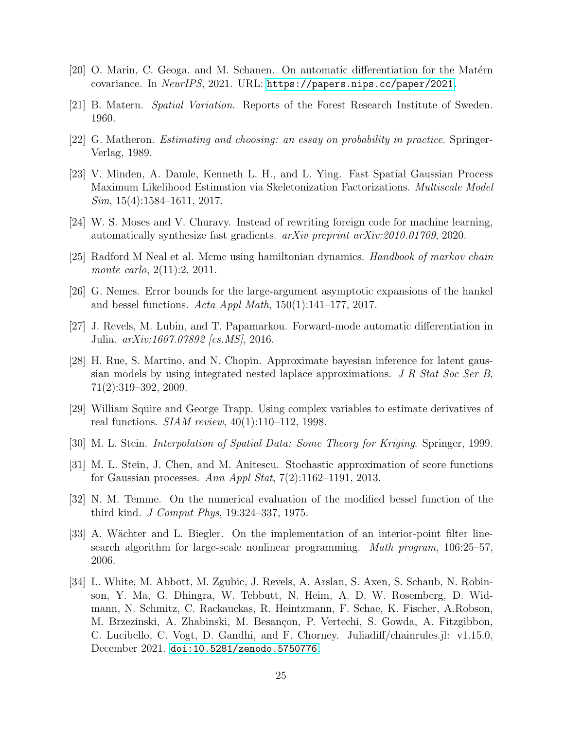- <span id="page-24-8"></span> $[20]$  O. Marin, C. Geoga, and M. Schanen. On automatic differentiation for the Matérn covariance. In NeurIPS, 2021. URL: <https://papers.nips.cc/paper/2021>.
- <span id="page-24-0"></span>[21] B. Matern. Spatial Variation. Reports of the Forest Research Institute of Sweden. 1960.
- <span id="page-24-2"></span>[22] G. Matheron. Estimating and choosing: an essay on probability in practice. Springer-Verlag, 1989.
- <span id="page-24-4"></span>[23] V. Minden, A. Damle, Kenneth L. H., and L. Ying. Fast Spatial Gaussian Process Maximum Likelihood Estimation via Skeletonization Factorizations. Multiscale Model  $Sim, 15(4): 1584-1611, 2017.$
- <span id="page-24-11"></span>[24] W. S. Moses and V. Churavy. Instead of rewriting foreign code for machine learning, automatically synthesize fast gradients. arXiv preprint arXiv:2010.01709, 2020.
- <span id="page-24-5"></span>[25] Radford M Neal et al. Mcmc using hamiltonian dynamics. Handbook of markov chain monte carlo, 2(11):2, 2011.
- <span id="page-24-12"></span>[26] G. Nemes. Error bounds for the large-argument asymptotic expansions of the hankel and bessel functions. Acta Appl Math,  $150(1):141-177$ ,  $2017$ .
- <span id="page-24-9"></span>[27] J. Revels, M. Lubin, and T. Papamarkou. Forward-mode automatic differentiation in Julia. arXiv:1607.07892 [cs.MS], 2016.
- <span id="page-24-14"></span>[28] H. Rue, S. Martino, and N. Chopin. Approximate bayesian inference for latent gaussian models by using integrated nested laplace approximations. J R Stat Soc Ser B, 71(2):319–392, 2009.
- <span id="page-24-7"></span>[29] William Squire and George Trapp. Using complex variables to estimate derivatives of real functions. SIAM review, 40(1):110–112, 1998.
- <span id="page-24-1"></span>[30] M. L. Stein. Interpolation of Spatial Data: Some Theory for Kriging. Springer, 1999.
- <span id="page-24-3"></span>[31] M. L. Stein, J. Chen, and M. Anitescu. Stochastic approximation of score functions for Gaussian processes. Ann Appl Stat,  $7(2):1162-1191$ , 2013.
- <span id="page-24-6"></span>[32] N. M. Temme. On the numerical evaluation of the modified bessel function of the third kind. J Comput Phys, 19:324–337, 1975.
- <span id="page-24-13"></span>[33] A. Wächter and L. Biegler. On the implementation of an interior-point filter linesearch algorithm for large-scale nonlinear programming. Math program, 106:25–57, 2006.
- <span id="page-24-10"></span>[34] L. White, M. Abbott, M. Zgubic, J. Revels, A. Arslan, S. Axen, S. Schaub, N. Robinson, Y. Ma, G. Dhingra, W. Tebbutt, N. Heim, A. D. W. Rosemberg, D. Widmann, N. Schmitz, C. Rackauckas, R. Heintzmann, F. Schae, K. Fischer, A.Robson, M. Brzezinski, A. Zhabinski, M. Besançon, P. Vertechi, S. Gowda, A. Fitzgibbon, C. Lucibello, C. Vogt, D. Gandhi, and F. Chorney. Juliadiff/chainrules.jl: v1.15.0, December 2021. [doi:10.5281/zenodo.5750776](https://doi.org/10.5281/zenodo.5750776).